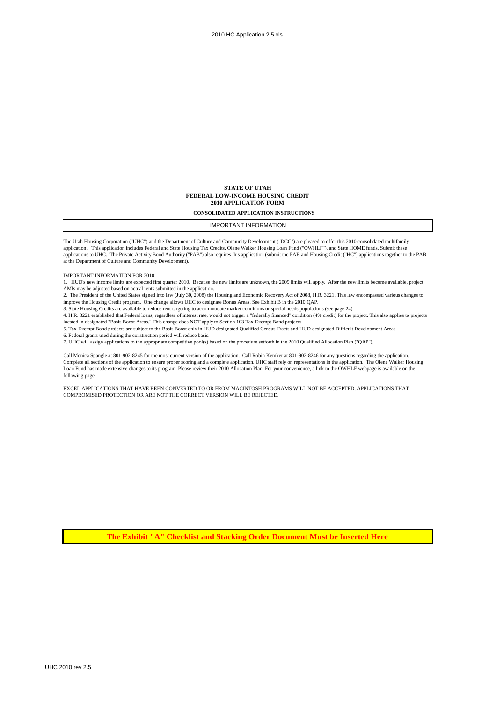#### **STATE OF UTAH FEDERAL LOW-INCOME HOUSING CREDIT 2010 APPLICATION FORM**

**CONSOLIDATED APPLICATION INSTRUCTIONS**

IMPORTANT INFORMATION

The Utah Housing Corporation ("UHC") and the Department of Culture and Community Development ("DCC") are pleased to offer this 2010 consolidated multifamily application. This application includes Federal and State Housing Tax Credits, Olene Walker Housing Loan Fund ("OWHLF"), and State HOME funds. Submit these applications to UHC. The Private Activity Bond Authority ("PAB") also requires this application (submit the PAB and Housing Credit ("HC") applications together to the PAB at the Department of Culture and Community Development).

IMPORTANT INFORMATION FOR 2010:

1. HUD's new income limits are expected first quarter 2010. Because the new limits are unknown, the 2009 limits will apply. After the new limits become available, project AMIs may be adjusted based on actual rents submitted in the application.

2. The President of the United States signed into law (July 30, 2008) the Housing and Economic Recovery Act of 2008, H.R. 3221. This law encompassed various changes to improve the Housing Credit program. One change allows UHC to designate Bonus Areas. See Exhibit B in the 2010 QAP.

3. State Housing Credits are available to reduce rent targeting to accommodate market conditions or special needs populations (see page 24).

4. H.R. 3221 established that Federal loans, regardless of interest rate, would not trigger a "federally financed" condition (4% credit) for the project. This also applies to projects located in designated "Basis Boost Areas." This change does NOT apply to Section 103 Tax-Exempt Bond projects.

5. Tax-Exempt Bond projects are subject to the Basis Boost only in HUD designated Qualified Census Tracts and HUD designated Difficult Development Areas.

6. Federal grants used during the construction period will reduce basis.

7. UHC will assign applications to the appropriate competitive pool(s) based on the procedure setforth in the 2010 Qualified Allocation Plan ("QAP").

Call Monica Spangle at 801-902-8245 for the most current version of the application. Call Robin Kemker at 801-902-8246 for any questions regarding the application. Complete all sections of the application to ensure proper scoring and a complete application. UHC staff rely on representations in the application. The Olene Walker Housing Loan Fund has made extensive changes to its program. Please review their 2010 Allocation Plan. For your convenience, a link to the OWHLF webpage is available on the following page.

EXCEL APPLICATIONS THAT HAVE BEEN CONVERTED TO OR FROM MACINTOSH PROGRAMS WILL NOT BE ACCEPTED. APPLICATIONS THAT COMPROMISED PROTECTION OR ARE NOT THE CORRECT VERSION WILL BE REJECTED.

**The Exhibit "A" Checklist and Stacking Order Document Must be Inserted Here**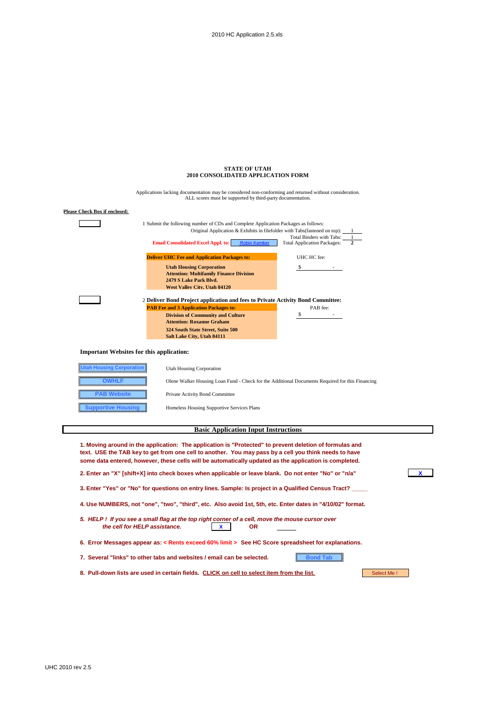|                                                 | <b>STATE OF UTAH</b>                                                                                                                                                                                                                                                                                                       |                                                                |            |  |  |  |  |
|-------------------------------------------------|----------------------------------------------------------------------------------------------------------------------------------------------------------------------------------------------------------------------------------------------------------------------------------------------------------------------------|----------------------------------------------------------------|------------|--|--|--|--|
|                                                 | 2010 CONSOLIDATED APPLICATION FORM                                                                                                                                                                                                                                                                                         |                                                                |            |  |  |  |  |
|                                                 | Applications lacking documentation may be considered non-conforming and returned without consideration.<br>ALL scores must be supported by third-party documentation.                                                                                                                                                      |                                                                |            |  |  |  |  |
| <b>Please Check Box if enclosed:</b>            |                                                                                                                                                                                                                                                                                                                            |                                                                |            |  |  |  |  |
|                                                 | 1 Submit the following number of CDs and Complete Application Packages as follows:<br>Original Application & Exhibits in filefolder with Tabs(fastened on top):                                                                                                                                                            |                                                                |            |  |  |  |  |
|                                                 | <b>Email Consolidated Excel Appl. to:</b><br><b>Robin Kemker</b>                                                                                                                                                                                                                                                           | Total Binders with Tabs:<br><b>Total Application Packages:</b> |            |  |  |  |  |
|                                                 | <b>Deliver UHC Fee and Application Packages to:</b>                                                                                                                                                                                                                                                                        | UHC HC fee:                                                    |            |  |  |  |  |
|                                                 | <b>Utah Housing Corporation</b><br><b>Attention: Multifamily Finance Division</b><br>2479 S Lake Park Blvd.<br><b>West Valley City, Utah 84120</b>                                                                                                                                                                         |                                                                |            |  |  |  |  |
|                                                 | 2 Deliver Bond Project application and fees to Private Activity Bond Committee:                                                                                                                                                                                                                                            |                                                                |            |  |  |  |  |
|                                                 | <b>PAB Fee and 3 Application Packages to:</b>                                                                                                                                                                                                                                                                              | PAB fee:                                                       |            |  |  |  |  |
|                                                 | <b>Division of Community and Culture</b><br><b>Attention: Roxanne Graham</b>                                                                                                                                                                                                                                               | \$                                                             |            |  |  |  |  |
|                                                 | 324 South State Street, Suite 500                                                                                                                                                                                                                                                                                          |                                                                |            |  |  |  |  |
|                                                 | Salt Lake City, Utah 84111                                                                                                                                                                                                                                                                                                 |                                                                |            |  |  |  |  |
| <b>Important Websites for this application:</b> |                                                                                                                                                                                                                                                                                                                            |                                                                |            |  |  |  |  |
| <b>Jtah Housing Corporation</b>                 | <b>Utah Housing Corporation</b>                                                                                                                                                                                                                                                                                            |                                                                |            |  |  |  |  |
| <b>OWHLF</b>                                    | Olene Walker Housing Loan Fund - Check for the Additional Documents Required for this Financing                                                                                                                                                                                                                            |                                                                |            |  |  |  |  |
| <b>PAB Website</b>                              | Private Activity Bond Committee                                                                                                                                                                                                                                                                                            |                                                                |            |  |  |  |  |
| <b>Supportive Housing</b>                       | Homeless Housing Supportive Services Plans                                                                                                                                                                                                                                                                                 |                                                                |            |  |  |  |  |
|                                                 |                                                                                                                                                                                                                                                                                                                            |                                                                |            |  |  |  |  |
|                                                 | <b>Basic Application Input Instructions</b>                                                                                                                                                                                                                                                                                |                                                                |            |  |  |  |  |
|                                                 | 1. Moving around in the application: The application is "Protected" to prevent deletion of formulas and<br>text. USE the TAB key to get from one cell to another. You may pass by a cell you think needs to have<br>some data entered, however, these cells will be automatically updated as the application is completed. |                                                                |            |  |  |  |  |
|                                                 | 2. Enter an "X" [shift+X] into check boxes when applicable or leave blank. Do not enter "No" or "n/a"                                                                                                                                                                                                                      |                                                                |            |  |  |  |  |
|                                                 | 3. Enter "Yes" or "No" for questions on entry lines. Sample: Is project in a Qualified Census Tract?                                                                                                                                                                                                                       |                                                                |            |  |  |  |  |
|                                                 | 4. Use NUMBERS, not "one", "two", "third", etc. Also avoid 1st, 5th, etc. Enter dates in "4/10/02" format.                                                                                                                                                                                                                 |                                                                |            |  |  |  |  |
|                                                 | 5. HELP! If you see a small flag at the top right corner of a cell, move the mouse cursor over<br>the cell for HELP assistance.<br><b>OR</b>                                                                                                                                                                               |                                                                |            |  |  |  |  |
|                                                 | 6. Error Messages appear as: < Rents exceed 60% limit > See HC Score spreadsheet for explanations.                                                                                                                                                                                                                         |                                                                |            |  |  |  |  |
|                                                 | 7. Several "links" to other tabs and websites / email can be selected.                                                                                                                                                                                                                                                     | <b>Bond Tab</b>                                                |            |  |  |  |  |
|                                                 | 8. Pull-down lists are used in certain fields. CLICK on cell to select item from the list.                                                                                                                                                                                                                                 |                                                                | Select Me! |  |  |  |  |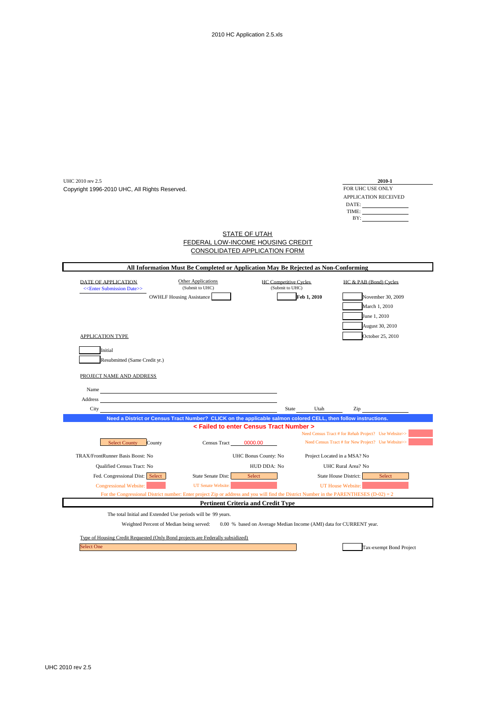| FOR UHC USE ONLY<br>Copyright 1996-2010 UHC, All Rights Reserved.<br>APPLICATION RECEIVED<br>DATE:<br>BY:<br><b>STATE OF UTAH</b><br><b>FEDERAL LOW-INCOME HOUSING CREDIT</b><br>CONSOLIDATED APPLICATION FORM<br>All Information Must Be Completed or Application May Be Rejected as Non-Conforming<br><b>Other Applications</b><br><b>HC Competitive Cycles</b><br>DATE OF APPLICATION<br>HC & PAB (Bond) Cycles<br>(Submit to UHC)<br>(Submit to UHC)<br>< <enter date="" submission="">&gt;<br/><b>OWHLF Housing Assistance</b><br/>Feb 1, 2010<br/>November 30, 2009<br/>March 1, 2010<br/>June 1, 2010<br/>August 30, 2010<br/><b>APPLICATION TYPE</b><br/>October 25, 2010<br/>Initial<br/>Resubmitted (Same Credit yr.)<br/>PROJECT NAME AND ADDRESS<br/>Name<br/>Address<br/>State<br/>City<br/>Utah<br/>Zip<br/>Need a District or Census Tract Number? CLICK on the applicable salmon colored CELL, then follow instructions.<br/>&lt; Failed to enter Census Tract Number &gt;<br/>Need Census Tract # for Rehab Project? Use Website&gt;&gt;<br/>Need Census Tract # for New Project? Use Website&gt;&gt;<br/><b>Select County</b><br/>0000.00<br/>County<br/><b>Census Tract</b><br/>TRAX/FrontRunner Basis Boost: No<br/>UHC Bonus County: No<br/>Project Located in a MSA? No<br/>Qualified Census Tract: No<br/>HUD DDA: No<br/>UHC Rural Area? No<br/>Fed. Congressional Dist: Select<br/>State Senate Dist:<br/>State House District:<br/>Select<br/>Select<br/>UT Senate Website:<br/><b>Congressional Website:</b><br/><b>UT House Website:</b><br/>For the Congressional District number: Enter project Zip or address and you will find the District Number in the PARENTHESES (D-02) = <math>2</math><br/><b>Pertinent Criteria and Credit Type</b><br/>The total Initial and Extended Use periods will be 99 years.<br/>Weighted Percent of Median being served: 0.00 % based on Average Median Income (AMI) data for CURRENT year.<br/>Type of Housing Credit Requested (Only Bond projects are Federally subsidized)</enter> | UHC 2010 rev 2.5  |  | 2010-1                  |  |
|---------------------------------------------------------------------------------------------------------------------------------------------------------------------------------------------------------------------------------------------------------------------------------------------------------------------------------------------------------------------------------------------------------------------------------------------------------------------------------------------------------------------------------------------------------------------------------------------------------------------------------------------------------------------------------------------------------------------------------------------------------------------------------------------------------------------------------------------------------------------------------------------------------------------------------------------------------------------------------------------------------------------------------------------------------------------------------------------------------------------------------------------------------------------------------------------------------------------------------------------------------------------------------------------------------------------------------------------------------------------------------------------------------------------------------------------------------------------------------------------------------------------------------------------------------------------------------------------------------------------------------------------------------------------------------------------------------------------------------------------------------------------------------------------------------------------------------------------------------------------------------------------------------------------------------------------------------------------------------------------------------------------------------------------------------|-------------------|--|-------------------------|--|
|                                                                                                                                                                                                                                                                                                                                                                                                                                                                                                                                                                                                                                                                                                                                                                                                                                                                                                                                                                                                                                                                                                                                                                                                                                                                                                                                                                                                                                                                                                                                                                                                                                                                                                                                                                                                                                                                                                                                                                                                                                                         |                   |  |                         |  |
|                                                                                                                                                                                                                                                                                                                                                                                                                                                                                                                                                                                                                                                                                                                                                                                                                                                                                                                                                                                                                                                                                                                                                                                                                                                                                                                                                                                                                                                                                                                                                                                                                                                                                                                                                                                                                                                                                                                                                                                                                                                         |                   |  |                         |  |
|                                                                                                                                                                                                                                                                                                                                                                                                                                                                                                                                                                                                                                                                                                                                                                                                                                                                                                                                                                                                                                                                                                                                                                                                                                                                                                                                                                                                                                                                                                                                                                                                                                                                                                                                                                                                                                                                                                                                                                                                                                                         |                   |  |                         |  |
|                                                                                                                                                                                                                                                                                                                                                                                                                                                                                                                                                                                                                                                                                                                                                                                                                                                                                                                                                                                                                                                                                                                                                                                                                                                                                                                                                                                                                                                                                                                                                                                                                                                                                                                                                                                                                                                                                                                                                                                                                                                         |                   |  |                         |  |
|                                                                                                                                                                                                                                                                                                                                                                                                                                                                                                                                                                                                                                                                                                                                                                                                                                                                                                                                                                                                                                                                                                                                                                                                                                                                                                                                                                                                                                                                                                                                                                                                                                                                                                                                                                                                                                                                                                                                                                                                                                                         |                   |  |                         |  |
|                                                                                                                                                                                                                                                                                                                                                                                                                                                                                                                                                                                                                                                                                                                                                                                                                                                                                                                                                                                                                                                                                                                                                                                                                                                                                                                                                                                                                                                                                                                                                                                                                                                                                                                                                                                                                                                                                                                                                                                                                                                         |                   |  |                         |  |
|                                                                                                                                                                                                                                                                                                                                                                                                                                                                                                                                                                                                                                                                                                                                                                                                                                                                                                                                                                                                                                                                                                                                                                                                                                                                                                                                                                                                                                                                                                                                                                                                                                                                                                                                                                                                                                                                                                                                                                                                                                                         |                   |  |                         |  |
|                                                                                                                                                                                                                                                                                                                                                                                                                                                                                                                                                                                                                                                                                                                                                                                                                                                                                                                                                                                                                                                                                                                                                                                                                                                                                                                                                                                                                                                                                                                                                                                                                                                                                                                                                                                                                                                                                                                                                                                                                                                         |                   |  |                         |  |
|                                                                                                                                                                                                                                                                                                                                                                                                                                                                                                                                                                                                                                                                                                                                                                                                                                                                                                                                                                                                                                                                                                                                                                                                                                                                                                                                                                                                                                                                                                                                                                                                                                                                                                                                                                                                                                                                                                                                                                                                                                                         |                   |  |                         |  |
|                                                                                                                                                                                                                                                                                                                                                                                                                                                                                                                                                                                                                                                                                                                                                                                                                                                                                                                                                                                                                                                                                                                                                                                                                                                                                                                                                                                                                                                                                                                                                                                                                                                                                                                                                                                                                                                                                                                                                                                                                                                         |                   |  |                         |  |
|                                                                                                                                                                                                                                                                                                                                                                                                                                                                                                                                                                                                                                                                                                                                                                                                                                                                                                                                                                                                                                                                                                                                                                                                                                                                                                                                                                                                                                                                                                                                                                                                                                                                                                                                                                                                                                                                                                                                                                                                                                                         |                   |  |                         |  |
|                                                                                                                                                                                                                                                                                                                                                                                                                                                                                                                                                                                                                                                                                                                                                                                                                                                                                                                                                                                                                                                                                                                                                                                                                                                                                                                                                                                                                                                                                                                                                                                                                                                                                                                                                                                                                                                                                                                                                                                                                                                         |                   |  |                         |  |
|                                                                                                                                                                                                                                                                                                                                                                                                                                                                                                                                                                                                                                                                                                                                                                                                                                                                                                                                                                                                                                                                                                                                                                                                                                                                                                                                                                                                                                                                                                                                                                                                                                                                                                                                                                                                                                                                                                                                                                                                                                                         |                   |  |                         |  |
|                                                                                                                                                                                                                                                                                                                                                                                                                                                                                                                                                                                                                                                                                                                                                                                                                                                                                                                                                                                                                                                                                                                                                                                                                                                                                                                                                                                                                                                                                                                                                                                                                                                                                                                                                                                                                                                                                                                                                                                                                                                         |                   |  |                         |  |
|                                                                                                                                                                                                                                                                                                                                                                                                                                                                                                                                                                                                                                                                                                                                                                                                                                                                                                                                                                                                                                                                                                                                                                                                                                                                                                                                                                                                                                                                                                                                                                                                                                                                                                                                                                                                                                                                                                                                                                                                                                                         |                   |  |                         |  |
|                                                                                                                                                                                                                                                                                                                                                                                                                                                                                                                                                                                                                                                                                                                                                                                                                                                                                                                                                                                                                                                                                                                                                                                                                                                                                                                                                                                                                                                                                                                                                                                                                                                                                                                                                                                                                                                                                                                                                                                                                                                         |                   |  |                         |  |
|                                                                                                                                                                                                                                                                                                                                                                                                                                                                                                                                                                                                                                                                                                                                                                                                                                                                                                                                                                                                                                                                                                                                                                                                                                                                                                                                                                                                                                                                                                                                                                                                                                                                                                                                                                                                                                                                                                                                                                                                                                                         |                   |  |                         |  |
|                                                                                                                                                                                                                                                                                                                                                                                                                                                                                                                                                                                                                                                                                                                                                                                                                                                                                                                                                                                                                                                                                                                                                                                                                                                                                                                                                                                                                                                                                                                                                                                                                                                                                                                                                                                                                                                                                                                                                                                                                                                         |                   |  |                         |  |
|                                                                                                                                                                                                                                                                                                                                                                                                                                                                                                                                                                                                                                                                                                                                                                                                                                                                                                                                                                                                                                                                                                                                                                                                                                                                                                                                                                                                                                                                                                                                                                                                                                                                                                                                                                                                                                                                                                                                                                                                                                                         |                   |  |                         |  |
|                                                                                                                                                                                                                                                                                                                                                                                                                                                                                                                                                                                                                                                                                                                                                                                                                                                                                                                                                                                                                                                                                                                                                                                                                                                                                                                                                                                                                                                                                                                                                                                                                                                                                                                                                                                                                                                                                                                                                                                                                                                         |                   |  |                         |  |
|                                                                                                                                                                                                                                                                                                                                                                                                                                                                                                                                                                                                                                                                                                                                                                                                                                                                                                                                                                                                                                                                                                                                                                                                                                                                                                                                                                                                                                                                                                                                                                                                                                                                                                                                                                                                                                                                                                                                                                                                                                                         |                   |  |                         |  |
|                                                                                                                                                                                                                                                                                                                                                                                                                                                                                                                                                                                                                                                                                                                                                                                                                                                                                                                                                                                                                                                                                                                                                                                                                                                                                                                                                                                                                                                                                                                                                                                                                                                                                                                                                                                                                                                                                                                                                                                                                                                         |                   |  |                         |  |
|                                                                                                                                                                                                                                                                                                                                                                                                                                                                                                                                                                                                                                                                                                                                                                                                                                                                                                                                                                                                                                                                                                                                                                                                                                                                                                                                                                                                                                                                                                                                                                                                                                                                                                                                                                                                                                                                                                                                                                                                                                                         |                   |  |                         |  |
|                                                                                                                                                                                                                                                                                                                                                                                                                                                                                                                                                                                                                                                                                                                                                                                                                                                                                                                                                                                                                                                                                                                                                                                                                                                                                                                                                                                                                                                                                                                                                                                                                                                                                                                                                                                                                                                                                                                                                                                                                                                         |                   |  |                         |  |
|                                                                                                                                                                                                                                                                                                                                                                                                                                                                                                                                                                                                                                                                                                                                                                                                                                                                                                                                                                                                                                                                                                                                                                                                                                                                                                                                                                                                                                                                                                                                                                                                                                                                                                                                                                                                                                                                                                                                                                                                                                                         |                   |  |                         |  |
|                                                                                                                                                                                                                                                                                                                                                                                                                                                                                                                                                                                                                                                                                                                                                                                                                                                                                                                                                                                                                                                                                                                                                                                                                                                                                                                                                                                                                                                                                                                                                                                                                                                                                                                                                                                                                                                                                                                                                                                                                                                         |                   |  |                         |  |
|                                                                                                                                                                                                                                                                                                                                                                                                                                                                                                                                                                                                                                                                                                                                                                                                                                                                                                                                                                                                                                                                                                                                                                                                                                                                                                                                                                                                                                                                                                                                                                                                                                                                                                                                                                                                                                                                                                                                                                                                                                                         |                   |  |                         |  |
|                                                                                                                                                                                                                                                                                                                                                                                                                                                                                                                                                                                                                                                                                                                                                                                                                                                                                                                                                                                                                                                                                                                                                                                                                                                                                                                                                                                                                                                                                                                                                                                                                                                                                                                                                                                                                                                                                                                                                                                                                                                         |                   |  |                         |  |
|                                                                                                                                                                                                                                                                                                                                                                                                                                                                                                                                                                                                                                                                                                                                                                                                                                                                                                                                                                                                                                                                                                                                                                                                                                                                                                                                                                                                                                                                                                                                                                                                                                                                                                                                                                                                                                                                                                                                                                                                                                                         |                   |  |                         |  |
|                                                                                                                                                                                                                                                                                                                                                                                                                                                                                                                                                                                                                                                                                                                                                                                                                                                                                                                                                                                                                                                                                                                                                                                                                                                                                                                                                                                                                                                                                                                                                                                                                                                                                                                                                                                                                                                                                                                                                                                                                                                         |                   |  |                         |  |
|                                                                                                                                                                                                                                                                                                                                                                                                                                                                                                                                                                                                                                                                                                                                                                                                                                                                                                                                                                                                                                                                                                                                                                                                                                                                                                                                                                                                                                                                                                                                                                                                                                                                                                                                                                                                                                                                                                                                                                                                                                                         |                   |  |                         |  |
|                                                                                                                                                                                                                                                                                                                                                                                                                                                                                                                                                                                                                                                                                                                                                                                                                                                                                                                                                                                                                                                                                                                                                                                                                                                                                                                                                                                                                                                                                                                                                                                                                                                                                                                                                                                                                                                                                                                                                                                                                                                         |                   |  |                         |  |
|                                                                                                                                                                                                                                                                                                                                                                                                                                                                                                                                                                                                                                                                                                                                                                                                                                                                                                                                                                                                                                                                                                                                                                                                                                                                                                                                                                                                                                                                                                                                                                                                                                                                                                                                                                                                                                                                                                                                                                                                                                                         |                   |  |                         |  |
|                                                                                                                                                                                                                                                                                                                                                                                                                                                                                                                                                                                                                                                                                                                                                                                                                                                                                                                                                                                                                                                                                                                                                                                                                                                                                                                                                                                                                                                                                                                                                                                                                                                                                                                                                                                                                                                                                                                                                                                                                                                         |                   |  |                         |  |
|                                                                                                                                                                                                                                                                                                                                                                                                                                                                                                                                                                                                                                                                                                                                                                                                                                                                                                                                                                                                                                                                                                                                                                                                                                                                                                                                                                                                                                                                                                                                                                                                                                                                                                                                                                                                                                                                                                                                                                                                                                                         | <b>Select One</b> |  | Tax-exempt Bond Project |  |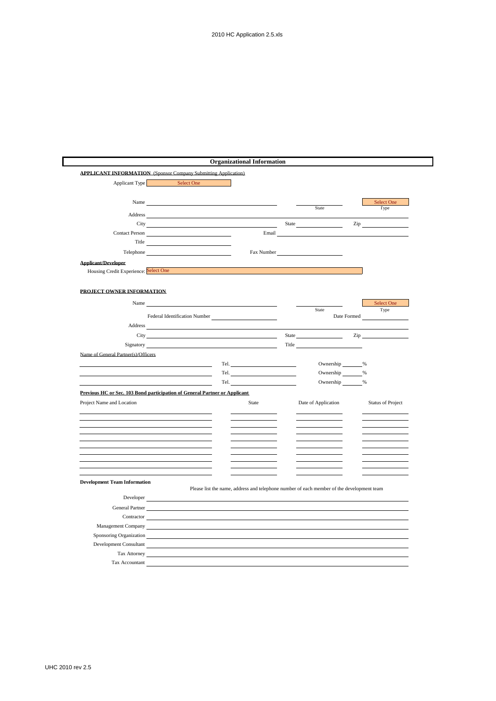|                                                                            |                                                                                                                                                                                                                                |      | <b>Organizational Information</b>                                                                                                                                                                                              |       |                                                                                           |             |                                               |
|----------------------------------------------------------------------------|--------------------------------------------------------------------------------------------------------------------------------------------------------------------------------------------------------------------------------|------|--------------------------------------------------------------------------------------------------------------------------------------------------------------------------------------------------------------------------------|-------|-------------------------------------------------------------------------------------------|-------------|-----------------------------------------------|
| <b>APPLICANT INFORMATION</b> (Sponsor Company Submitting Application)      |                                                                                                                                                                                                                                |      |                                                                                                                                                                                                                                |       |                                                                                           |             |                                               |
| Applicant Type                                                             | Select One                                                                                                                                                                                                                     |      |                                                                                                                                                                                                                                |       |                                                                                           |             |                                               |
|                                                                            |                                                                                                                                                                                                                                |      |                                                                                                                                                                                                                                |       |                                                                                           |             |                                               |
| Name                                                                       |                                                                                                                                                                                                                                |      |                                                                                                                                                                                                                                |       | State                                                                                     |             | Select One<br>Type                            |
| Address                                                                    |                                                                                                                                                                                                                                |      |                                                                                                                                                                                                                                |       |                                                                                           |             |                                               |
| City                                                                       |                                                                                                                                                                                                                                |      |                                                                                                                                                                                                                                |       | State <u>_______</u>                                                                      |             | $\mathsf{Zip} \hspace{0.2cm} \longrightarrow$ |
| <b>Contact Person</b>                                                      |                                                                                                                                                                                                                                |      | Email                                                                                                                                                                                                                          |       |                                                                                           |             |                                               |
|                                                                            | Title <b>The Community of the Community Community</b>                                                                                                                                                                          |      |                                                                                                                                                                                                                                |       |                                                                                           |             |                                               |
| Telephone                                                                  |                                                                                                                                                                                                                                |      | Fax Number                                                                                                                                                                                                                     |       |                                                                                           |             |                                               |
| <b>Applicant/Developer</b>                                                 |                                                                                                                                                                                                                                |      |                                                                                                                                                                                                                                |       |                                                                                           |             |                                               |
| Housing Credit Experience: Select One                                      |                                                                                                                                                                                                                                |      |                                                                                                                                                                                                                                |       |                                                                                           |             |                                               |
|                                                                            |                                                                                                                                                                                                                                |      |                                                                                                                                                                                                                                |       |                                                                                           |             |                                               |
| PROJECT OWNER INFORMATION                                                  |                                                                                                                                                                                                                                |      |                                                                                                                                                                                                                                |       |                                                                                           |             |                                               |
| Name                                                                       |                                                                                                                                                                                                                                |      |                                                                                                                                                                                                                                |       |                                                                                           |             | Select One                                    |
|                                                                            |                                                                                                                                                                                                                                |      |                                                                                                                                                                                                                                |       | State                                                                                     |             | Type                                          |
| Address                                                                    | Federal Identification Number                                                                                                                                                                                                  |      |                                                                                                                                                                                                                                |       |                                                                                           | Date Formed |                                               |
|                                                                            |                                                                                                                                                                                                                                |      |                                                                                                                                                                                                                                |       |                                                                                           |             |                                               |
|                                                                            | City of the contract of the contract of the contract of the contract of the contract of the contract of the contract of the contract of the contract of the contract of the contract of the contract of the contract of the co |      |                                                                                                                                                                                                                                | State |                                                                                           | Zip         |                                               |
| Signatory                                                                  |                                                                                                                                                                                                                                |      |                                                                                                                                                                                                                                | Title |                                                                                           |             |                                               |
| Name of General Partner(s)/Officers                                        |                                                                                                                                                                                                                                |      |                                                                                                                                                                                                                                |       |                                                                                           |             |                                               |
|                                                                            |                                                                                                                                                                                                                                | Tel. | Tel. The contract of the contract of the contract of the contract of the contract of the contract of the contract of the contract of the contract of the contract of the contract of the contract of the contract of the contr |       | Ownership %<br>Ownership %                                                                |             |                                               |
|                                                                            |                                                                                                                                                                                                                                | Tel. |                                                                                                                                                                                                                                |       | Ownership %                                                                               |             |                                               |
|                                                                            |                                                                                                                                                                                                                                |      |                                                                                                                                                                                                                                |       |                                                                                           |             |                                               |
| Previous HC or Sec. 103 Bond participation of General Partner or Applicant |                                                                                                                                                                                                                                |      |                                                                                                                                                                                                                                |       |                                                                                           |             |                                               |
| Project Name and Location                                                  |                                                                                                                                                                                                                                |      | <b>State</b>                                                                                                                                                                                                                   |       | Date of Application                                                                       |             | <b>Status of Project</b>                      |
|                                                                            |                                                                                                                                                                                                                                |      |                                                                                                                                                                                                                                |       |                                                                                           |             |                                               |
|                                                                            |                                                                                                                                                                                                                                |      |                                                                                                                                                                                                                                |       |                                                                                           |             |                                               |
|                                                                            |                                                                                                                                                                                                                                |      |                                                                                                                                                                                                                                |       |                                                                                           |             |                                               |
|                                                                            |                                                                                                                                                                                                                                |      |                                                                                                                                                                                                                                |       |                                                                                           |             |                                               |
|                                                                            |                                                                                                                                                                                                                                |      |                                                                                                                                                                                                                                |       |                                                                                           |             |                                               |
|                                                                            |                                                                                                                                                                                                                                |      |                                                                                                                                                                                                                                |       |                                                                                           |             |                                               |
|                                                                            |                                                                                                                                                                                                                                |      |                                                                                                                                                                                                                                |       |                                                                                           |             |                                               |
| <b>Development Team Information</b>                                        |                                                                                                                                                                                                                                |      |                                                                                                                                                                                                                                |       |                                                                                           |             |                                               |
|                                                                            |                                                                                                                                                                                                                                |      |                                                                                                                                                                                                                                |       | Please list the name, address and telephone number of each member of the development team |             |                                               |
| Developer                                                                  |                                                                                                                                                                                                                                |      |                                                                                                                                                                                                                                |       |                                                                                           |             |                                               |
| General Partner                                                            |                                                                                                                                                                                                                                |      |                                                                                                                                                                                                                                |       |                                                                                           |             |                                               |
| Contractor                                                                 |                                                                                                                                                                                                                                |      |                                                                                                                                                                                                                                |       |                                                                                           |             |                                               |
|                                                                            |                                                                                                                                                                                                                                |      |                                                                                                                                                                                                                                |       |                                                                                           |             |                                               |
| Management Company                                                         |                                                                                                                                                                                                                                |      |                                                                                                                                                                                                                                |       |                                                                                           |             |                                               |
| Sponsoring Organization                                                    |                                                                                                                                                                                                                                |      |                                                                                                                                                                                                                                |       |                                                                                           |             |                                               |
| Development Consultant<br>Tax Attorney                                     |                                                                                                                                                                                                                                |      |                                                                                                                                                                                                                                |       |                                                                                           |             |                                               |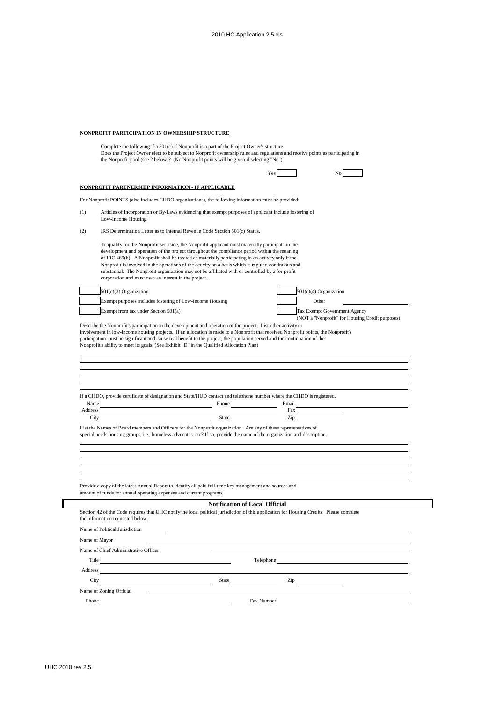## **NONPROFIT PARTICIPATION IN OWNERSHIP STRUCTURE**

|     | Complete the following if a 501(c) if Nonprofit is a part of the Project Owner's structure.<br>Does the Project Owner elect to be subject to Nonprofit ownership rules and regulations and receive points as participating in<br>the Nonprofit pool (see 2 below)? (No Nonprofit points will be given if selecting "No")                                                                                                                                                                                                                                                    |                                       |                          |                                                                                                                                                                                                                                |
|-----|-----------------------------------------------------------------------------------------------------------------------------------------------------------------------------------------------------------------------------------------------------------------------------------------------------------------------------------------------------------------------------------------------------------------------------------------------------------------------------------------------------------------------------------------------------------------------------|---------------------------------------|--------------------------|--------------------------------------------------------------------------------------------------------------------------------------------------------------------------------------------------------------------------------|
|     |                                                                                                                                                                                                                                                                                                                                                                                                                                                                                                                                                                             |                                       | Yes                      |                                                                                                                                                                                                                                |
|     | NONPROFIT PARTNERSHIP INFORMATION - IF APPLICABLE                                                                                                                                                                                                                                                                                                                                                                                                                                                                                                                           |                                       |                          |                                                                                                                                                                                                                                |
|     | For Nonprofit POINTS (also includes CHDO organizations), the following information must be provided:                                                                                                                                                                                                                                                                                                                                                                                                                                                                        |                                       |                          |                                                                                                                                                                                                                                |
| (1) | Articles of Incorporation or By-Laws evidencing that exempt purposes of applicant include fostering of<br>Low-Income Housing.                                                                                                                                                                                                                                                                                                                                                                                                                                               |                                       |                          |                                                                                                                                                                                                                                |
| (2) | IRS Determination Letter as to Internal Revenue Code Section 501(c) Status.                                                                                                                                                                                                                                                                                                                                                                                                                                                                                                 |                                       |                          |                                                                                                                                                                                                                                |
|     | To qualify for the Nonprofit set-aside, the Nonprofit applicant must materially participate in the<br>development and operation of the project throughout the compliance period within the meaning<br>of IRC 469(h). A Nonprofit shall be treated as materially participating in an activity only if the<br>Nonprofit is involved in the operations of the activity on a basis which is regular, continuous and<br>substantial. The Nonprofit organization may not be affiliated with or controlled by a for-profit<br>corporation and must own an interest in the project. |                                       |                          |                                                                                                                                                                                                                                |
|     | $501(c)(3)$ Organization                                                                                                                                                                                                                                                                                                                                                                                                                                                                                                                                                    |                                       |                          | 501(c)(4) Organization                                                                                                                                                                                                         |
|     | Exempt purposes includes fostering of Low-Income Housing                                                                                                                                                                                                                                                                                                                                                                                                                                                                                                                    |                                       |                          | Other                                                                                                                                                                                                                          |
|     | Exempt from tax under Section 501(a)                                                                                                                                                                                                                                                                                                                                                                                                                                                                                                                                        |                                       |                          | Tax Exempt Government Agency<br>(NOT a "Nonprofit" for Housing Credit purposes)                                                                                                                                                |
|     |                                                                                                                                                                                                                                                                                                                                                                                                                                                                                                                                                                             |                                       |                          |                                                                                                                                                                                                                                |
|     |                                                                                                                                                                                                                                                                                                                                                                                                                                                                                                                                                                             |                                       |                          |                                                                                                                                                                                                                                |
|     | If a CHDO, provide certificate of designation and State/HUD contact and telephone number where the CHDO is registered.                                                                                                                                                                                                                                                                                                                                                                                                                                                      |                                       |                          |                                                                                                                                                                                                                                |
|     | Name Email Email Email Email Email Email Email Email Email Email Email Email Email Email Email Email Email Email Email Email Email Email Email Email Email Email Email Email Email Email Email Email Email Email Email Email E                                                                                                                                                                                                                                                                                                                                              |                                       |                          | Fax and the state of the state of the state of the state of the state of the state of the state of the state of the state of the state of the state of the state of the state of the state of the state of the state of the st |
|     | Address experiences and the contract of the contract of the contract of the contract of the contract of the contract of the contract of the contract of the contract of the contract of the contract of the contract of the co<br>City                                                                                                                                                                                                                                                                                                                                      |                                       | Zip                      |                                                                                                                                                                                                                                |
|     | List the Names of Board members and Officers for the Nonprofit organization. Are any of these representatives of<br>special needs housing groups, i.e., homeless advocates, etc? If so, provide the name of the organization and description.                                                                                                                                                                                                                                                                                                                               |                                       |                          |                                                                                                                                                                                                                                |
|     | Provide a copy of the latest Annual Report to identify all paid full-time key management and sources and<br>amount of funds for annual operating expenses and current programs.                                                                                                                                                                                                                                                                                                                                                                                             |                                       |                          |                                                                                                                                                                                                                                |
|     |                                                                                                                                                                                                                                                                                                                                                                                                                                                                                                                                                                             | <b>Notification of Local Official</b> |                          |                                                                                                                                                                                                                                |
|     | Section 42 of the Code requires that UHC notify the local political jurisdiction of this application for Housing Credits. Please complete<br>the information requested below.                                                                                                                                                                                                                                                                                                                                                                                               |                                       |                          |                                                                                                                                                                                                                                |
|     | Name of Political Jurisdiction                                                                                                                                                                                                                                                                                                                                                                                                                                                                                                                                              |                                       |                          |                                                                                                                                                                                                                                |
|     | Name of Mayor                                                                                                                                                                                                                                                                                                                                                                                                                                                                                                                                                               |                                       |                          |                                                                                                                                                                                                                                |
|     | Name of Chief Administrative Officer                                                                                                                                                                                                                                                                                                                                                                                                                                                                                                                                        |                                       |                          |                                                                                                                                                                                                                                |
|     | Title <b>The Community of the Community</b> of the Community of the Community of the Community of the Community of the Community of the Community of the Community of the Community of the Community of the Community of the Commun                                                                                                                                                                                                                                                                                                                                         |                                       |                          |                                                                                                                                                                                                                                |
|     | Address and the contract of the contract of the contract of the contract of the contract of the contract of the contract of the contract of the contract of the contract of the contract of the contract of the contract of th                                                                                                                                                                                                                                                                                                                                              |                                       | Telephone <b>Example</b> |                                                                                                                                                                                                                                |

Phone Fax Number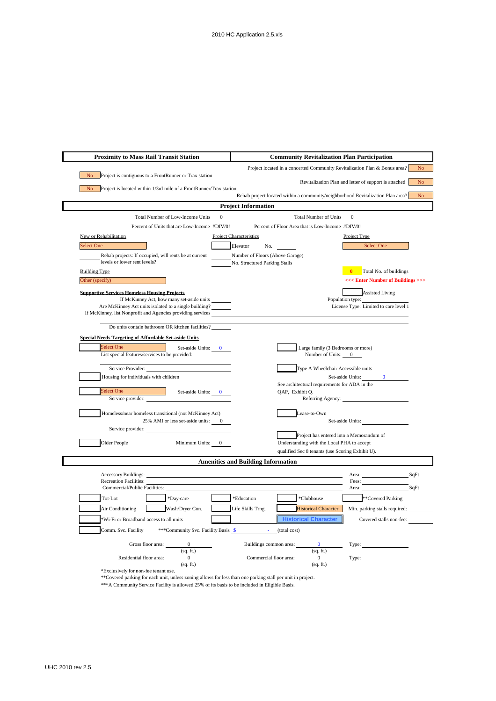| <b>Proximity to Mass Rail Transit Station</b>                                                                        | <b>Community Revitalization Plan Participation</b>                                |                |
|----------------------------------------------------------------------------------------------------------------------|-----------------------------------------------------------------------------------|----------------|
|                                                                                                                      | Project located in a concerted Community Revitalization Plan & Bonus area?        | N <sub>o</sub> |
| Project is contiguous to a FrontRunner or Trax station                                                               | Revitalization Plan and letter of support is attached                             | N <sub>o</sub> |
| No Project is located within 1/3rd mile of a FrontRunner/Trax station                                                | Rehab project located within a community/neighborhood Revitalization Plan area?   | N <sub>o</sub> |
|                                                                                                                      | <b>Project Information</b>                                                        |                |
| Total Number of Low-Income Units                                                                                     | $\mathbf{0}$<br>$\mathbf{0}$<br>Total Number of Units                             |                |
| Percent of Units that are Low-Income #DIV/0!                                                                         | Percent of Floor Area that is Low-Income #DIV/0!                                  |                |
| New or Rehabilitation                                                                                                | <b>Project Characteristics</b><br>Project Type                                    |                |
| <b>Select One</b>                                                                                                    | <b>Select One</b><br>Elevator<br>No.                                              |                |
| Rehab projects: If occupied, will rents be at current                                                                | Number of Floors (Above Garage)                                                   |                |
| levels or lower rent levels?<br><b>Building Type.</b>                                                                | No. Structured Parking Stalls<br><b>0</b> Total No. of buildings                  |                |
| Other (specify)                                                                                                      | <<< Enter Number of Buildings >>>                                                 |                |
| <b>Supportive Services Homeless Housing Projects</b>                                                                 | <b>Assisted Living</b>                                                            |                |
| If McKinney Act, how many set-aside units                                                                            | Population type:                                                                  |                |
| Are McKinney Act units isolated to a single building?<br>If McKinney, list Nonprofit and Agencies providing services | License Type: Limited to care level 1                                             |                |
|                                                                                                                      |                                                                                   |                |
| Do units contain bathroom OR kitchen facilities?                                                                     |                                                                                   |                |
| <b>Special Needs Targeting of Affordable Set-aside Units</b><br>Select One                                           |                                                                                   |                |
| Set-aside Units: 0<br>List special features/services to be provided:                                                 | Large family (3 Bedrooms or more)<br>Number of Units: 0                           |                |
| Service Provider:                                                                                                    | Type A Wheelchair Accessible units                                                |                |
| Housing for individuals with children                                                                                | Set-aside Units:<br>$\Omega$                                                      |                |
| Select One<br>Set-aside Units: 0                                                                                     | See architectural requirements for ADA in the<br>OAP, Exhibit O.                  |                |
| Service provider:                                                                                                    | Referring Agency:                                                                 |                |
| Homeless/near homeless transitional (not McKinney Act)                                                               | Lease-to-Own                                                                      |                |
| 25% AMI or less set-aside units: 0                                                                                   | Set-aside Units:                                                                  |                |
| Service provider:                                                                                                    | Project has entered into a Memorandum of                                          |                |
| Older People<br>Minimum Units:                                                                                       | Understanding with the Local PHA to accept                                        |                |
|                                                                                                                      | qualified Sec 8 tenants (use Scoring Exhibit U).                                  |                |
|                                                                                                                      | <b>Amenities and Building Information</b>                                         |                |
| <b>Accessory Buildings:</b>                                                                                          | Area:                                                                             | SqFt           |
| <b>Recreation Facilities:</b><br>Commercial/Public Facilities:                                                       | Fees:<br>Area:                                                                    | SqFt           |
| *Day-care<br>Tot-Lot                                                                                                 | **Covered Parking<br>*Education<br>*Clubhouse                                     |                |
| Wash/Dryer Con.<br>Air Conditioning                                                                                  | Life Skills Trng.<br><b>Historical Character</b><br>Min. parking stalls required: |                |
| *Wi-Fi or Broadband access to all units                                                                              | <b>Historical Character</b><br>Covered stalls non-fee:                            |                |
| ***Community Svc. Facility Basis \$<br>Comm. Svc. Facility                                                           | (total cost)                                                                      |                |
| Gross floor area: 0                                                                                                  | Buildings common area:<br>Type:                                                   |                |
| (sq. ft.)                                                                                                            | (sq. ft.)                                                                         |                |
| $\overline{\mathbf{0}}$<br>Residential floor area:<br>(sq. ft.)                                                      | Commercial floor area:<br>$\overline{0}$<br>(sq. ft.)                             |                |
| *Exclusively for non-fee tenant use.                                                                                 |                                                                                   |                |

\*\*Covered parking for each unit, unless zoning allows for less than one parking stall per unit in project.

\*\*\*A Community Service Facility is allowed 25% of its basis to be included in Eligible Basis.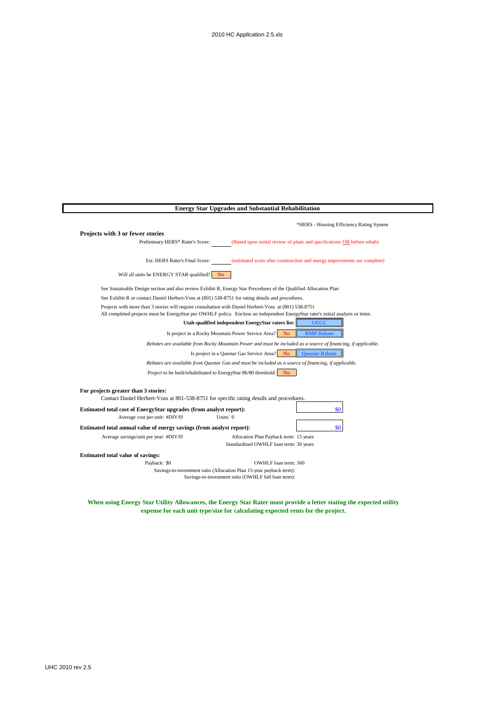|                                                                       | <b>Energy Star Upgrades and Substantial Rehabilitation</b>                                                                                                                                                                                  |
|-----------------------------------------------------------------------|---------------------------------------------------------------------------------------------------------------------------------------------------------------------------------------------------------------------------------------------|
|                                                                       | *HERS - Housing Efficiency Rating System                                                                                                                                                                                                    |
| Projects with 3 or fewer stories                                      |                                                                                                                                                                                                                                             |
| Preliminary HERS* Rater's Score:                                      | (Based upon initial review of plans and specfications OR before rehab)                                                                                                                                                                      |
| Est. HERS Rater's Final Score:                                        | (estimated score after construction and energy improvments are complete)                                                                                                                                                                    |
| Will all units be ENERGY STAR qualified?                              | N <sub>0</sub>                                                                                                                                                                                                                              |
|                                                                       | See Sustainable Design section and also review Exhibit R, Energy Star Procedures of the Qualified Allocation Plan                                                                                                                           |
|                                                                       | See Exhibit R or contact Daniel Herbert-Voss at (801) 538-8751 for rating details and procedures.                                                                                                                                           |
|                                                                       | Projects with more than 3 stories will require consultation with Daniel Herbert-Voss at (801) 538-8751<br>All completed projects must be EnergyStar per OWHLF policy. Enclose an independent EnergyStar rater's initial analysis or letter. |
|                                                                       | Utah-qualified independent EnergyStar raters list:<br><b>UECC</b>                                                                                                                                                                           |
|                                                                       | Is project in a Rocky Mountain Power Service Area?<br><b>RMP</b> Rebate<br>N <sub>o</sub>                                                                                                                                                   |
|                                                                       | Rebates are available from Rocky Mountain Power and must be included as a source of financing, if applicable.                                                                                                                               |
|                                                                       | Is project in a Questar Gas Service Area? No<br><b>Ouestar Rebate</b>                                                                                                                                                                       |
|                                                                       | Rebates are available from Questar Gas and must be included as a source of financing, if applicable.                                                                                                                                        |
|                                                                       | Project to be built/rehabilitated to EnergyStar 86/80 threshold:<br>N <sub>o</sub>                                                                                                                                                          |
| For projects greater than 3 stories:                                  |                                                                                                                                                                                                                                             |
|                                                                       | Contact Daniel Herbert-Voss at 801-538-8751 for specific rating details and procedures.                                                                                                                                                     |
| Estimated total cost of EnergyStar upgrades (from analyst report):    | \$0                                                                                                                                                                                                                                         |
| Average cost per unit: #DIV/0!                                        | Units: 0                                                                                                                                                                                                                                    |
| Estimated total annual value of energy savings (from analyst report): | \$0                                                                                                                                                                                                                                         |
| Average savings/unit per year: #DIV/0!                                | Allocation Plan Payback term: 15 years                                                                                                                                                                                                      |
|                                                                       | Standardized OWHLF loan term: 30 years                                                                                                                                                                                                      |
| <b>Estimated total value of savings:</b>                              |                                                                                                                                                                                                                                             |
| Payback: \$0                                                          | OWHLF loan term: 360                                                                                                                                                                                                                        |
|                                                                       | Savings-to-investment ratio (Allocation Plan 15-year payback term):<br>Savings-to-investment ratio (OWHLF full loan term):                                                                                                                  |

**When using Energy Star Utility Allowances, the Energy Star Rater must provide a letter stating the expected utility expense for each unit type/size for calculating expected rents for the project.**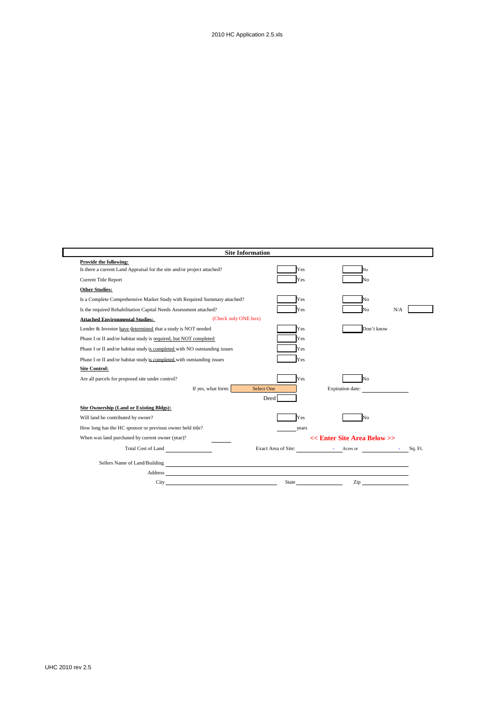|                                                                            |                      | <b>Site Information</b>                                                                                                                                                                                                        |                             |                                                                                                                                                                                                                                |
|----------------------------------------------------------------------------|----------------------|--------------------------------------------------------------------------------------------------------------------------------------------------------------------------------------------------------------------------------|-----------------------------|--------------------------------------------------------------------------------------------------------------------------------------------------------------------------------------------------------------------------------|
| Provide the following:                                                     |                      |                                                                                                                                                                                                                                |                             |                                                                                                                                                                                                                                |
| Is there a current Land Appraisal for the site and/or project attached?    |                      | Yes                                                                                                                                                                                                                            | Ñо                          |                                                                                                                                                                                                                                |
| Current Title Report                                                       |                      | Yes                                                                                                                                                                                                                            | N٥                          |                                                                                                                                                                                                                                |
| <b>Other Studies:</b>                                                      |                      |                                                                                                                                                                                                                                |                             |                                                                                                                                                                                                                                |
| Is a Complete Comprehensive Market Study with Required Summary attached?   |                      | Yes                                                                                                                                                                                                                            | N٥                          |                                                                                                                                                                                                                                |
| Is the required Rehabilitation Capital Needs Assessment attached?          |                      | Yes                                                                                                                                                                                                                            | J٥                          | N/A                                                                                                                                                                                                                            |
| <b>Attached Environmental Studies:</b>                                     | (Check only ONE box) |                                                                                                                                                                                                                                |                             |                                                                                                                                                                                                                                |
| Lender & Investor have determined that a study is NOT needed               |                      | Yes                                                                                                                                                                                                                            | Don't know                  |                                                                                                                                                                                                                                |
| Phase I or II and/or habitat study is required, but NOT completed          |                      | Yes                                                                                                                                                                                                                            |                             |                                                                                                                                                                                                                                |
| Phase I or II and/or habitat study is completed with NO outstanding issues |                      | Yes                                                                                                                                                                                                                            |                             |                                                                                                                                                                                                                                |
| Phase I or II and/or habitat study is completed with outstanding issues    |                      | Yes                                                                                                                                                                                                                            |                             |                                                                                                                                                                                                                                |
| <b>Site Control:</b>                                                       |                      |                                                                                                                                                                                                                                |                             |                                                                                                                                                                                                                                |
| Are all parcels for proposed site under control?                           |                      | Yes                                                                                                                                                                                                                            | No                          |                                                                                                                                                                                                                                |
|                                                                            | If yes, what form:   | <b>Select One</b>                                                                                                                                                                                                              | Expiration date:            |                                                                                                                                                                                                                                |
|                                                                            |                      | Deed                                                                                                                                                                                                                           |                             |                                                                                                                                                                                                                                |
| Site Ownership (Land or Existing Bldgs):                                   |                      |                                                                                                                                                                                                                                |                             |                                                                                                                                                                                                                                |
| Will land be contributed by owner?                                         |                      | Yes                                                                                                                                                                                                                            | N٥                          |                                                                                                                                                                                                                                |
| How long has the HC sponsor or previous owner held title?                  |                      | years                                                                                                                                                                                                                          |                             |                                                                                                                                                                                                                                |
| When was land purchased by current owner (year)?                           |                      |                                                                                                                                                                                                                                | << Enter Site Area Below >> |                                                                                                                                                                                                                                |
| Total Cost of Land                                                         |                      | Exact Area of Site:                                                                                                                                                                                                            | - Acres or - Sq. Ft.        |                                                                                                                                                                                                                                |
| Sellers Name of Land/Building<br><u>Figures</u>                            |                      |                                                                                                                                                                                                                                |                             |                                                                                                                                                                                                                                |
|                                                                            |                      | Address and the contract of the contract of the contract of the contract of the contract of the contract of the contract of the contract of the contract of the contract of the contract of the contract of the contract of th |                             |                                                                                                                                                                                                                                |
| City                                                                       |                      |                                                                                                                                                                                                                                | State                       | Zip and the same state of the state of the state of the state of the state of the state of the state of the state of the state of the state of the state of the state of the state of the state of the state of the state of t |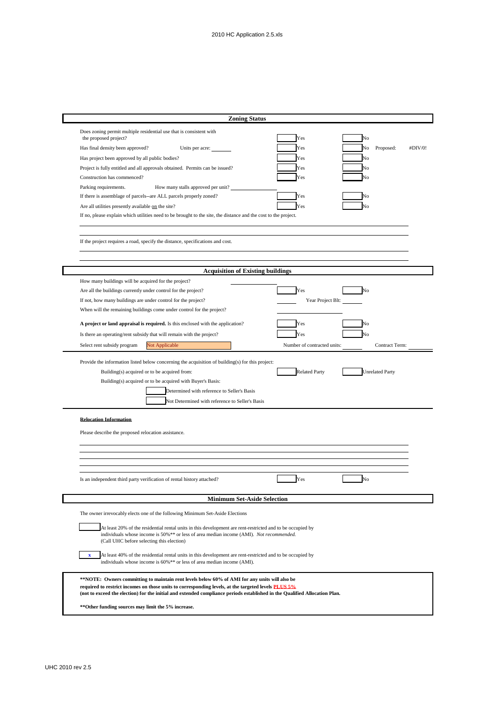| <b>Zoning Status</b>                                                                                                                                                                                                                                                                                                                                                                                                                                                                                                                                                                                                                |                                               |                                         |         |
|-------------------------------------------------------------------------------------------------------------------------------------------------------------------------------------------------------------------------------------------------------------------------------------------------------------------------------------------------------------------------------------------------------------------------------------------------------------------------------------------------------------------------------------------------------------------------------------------------------------------------------------|-----------------------------------------------|-----------------------------------------|---------|
| Does zoning permit multiple residential use that is consistent with<br>the proposed project?<br>Has final density been approved?<br>Units per acre:<br>Has project been approved by all public bodies?<br>Project is fully entitled and all approvals obtained. Permits can be issued?<br>Construction has commenced?<br>Parking requirements.<br>How many stalls approved per unit?<br>If there is assemblage of parcels--are ALL parcels properly zoned?<br>Are all utilities presently available on the site?<br>If no, please explain which utilities need to be brought to the site, the distance and the cost to the project. | Yes<br>Yes<br>Yes<br>Yes<br>Yes<br>Yes<br>Yes | Ñо<br>Proposed:<br>No<br>No<br>No<br>No | #DIV/0! |
| If the project requires a road, specify the distance, specifications and cost.                                                                                                                                                                                                                                                                                                                                                                                                                                                                                                                                                      |                                               |                                         |         |
|                                                                                                                                                                                                                                                                                                                                                                                                                                                                                                                                                                                                                                     |                                               |                                         |         |
| <b>Acquisition of Existing buildings</b>                                                                                                                                                                                                                                                                                                                                                                                                                                                                                                                                                                                            |                                               |                                         |         |
| How many buildings will be acquired for the project?                                                                                                                                                                                                                                                                                                                                                                                                                                                                                                                                                                                |                                               |                                         |         |
| Are all the buildings currently under control for the project?                                                                                                                                                                                                                                                                                                                                                                                                                                                                                                                                                                      | Yes                                           | No                                      |         |
| If not, how many buildings are under control for the project?                                                                                                                                                                                                                                                                                                                                                                                                                                                                                                                                                                       | Year Project Blt:                             |                                         |         |
| When will the remaining buildings come under control for the project?                                                                                                                                                                                                                                                                                                                                                                                                                                                                                                                                                               |                                               |                                         |         |
|                                                                                                                                                                                                                                                                                                                                                                                                                                                                                                                                                                                                                                     |                                               |                                         |         |
| A project or land appraisal is required. Is this enclosed with the application?                                                                                                                                                                                                                                                                                                                                                                                                                                                                                                                                                     | Yes                                           | No                                      |         |
| Is there an operating/rent subsidy that will remain with the project?                                                                                                                                                                                                                                                                                                                                                                                                                                                                                                                                                               | Yes                                           | Jо                                      |         |
| Select rent subsidy program<br>Not Applicable                                                                                                                                                                                                                                                                                                                                                                                                                                                                                                                                                                                       | Number of contracted units:                   | Contract Term:                          |         |
| Building(s) acquired or to be acquired from:<br>Building(s) acquired or to be acquired with Buyer's Basis:<br>Determined with reference to Seller's Basis<br>Not Determined with reference to Seller's Basis                                                                                                                                                                                                                                                                                                                                                                                                                        | <b>Related Party</b>                          | <b>Unrelated Party</b>                  |         |
| <b>Relocation Information</b>                                                                                                                                                                                                                                                                                                                                                                                                                                                                                                                                                                                                       |                                               |                                         |         |
| Please describe the proposed relocation assistance.                                                                                                                                                                                                                                                                                                                                                                                                                                                                                                                                                                                 |                                               |                                         |         |
|                                                                                                                                                                                                                                                                                                                                                                                                                                                                                                                                                                                                                                     |                                               |                                         |         |
|                                                                                                                                                                                                                                                                                                                                                                                                                                                                                                                                                                                                                                     |                                               |                                         |         |
|                                                                                                                                                                                                                                                                                                                                                                                                                                                                                                                                                                                                                                     |                                               |                                         |         |
|                                                                                                                                                                                                                                                                                                                                                                                                                                                                                                                                                                                                                                     |                                               |                                         |         |
| Is an independent third party verification of rental history attached?                                                                                                                                                                                                                                                                                                                                                                                                                                                                                                                                                              | Yes                                           | No                                      |         |
|                                                                                                                                                                                                                                                                                                                                                                                                                                                                                                                                                                                                                                     |                                               |                                         |         |
| <b>Minimum Set-Aside Selection</b>                                                                                                                                                                                                                                                                                                                                                                                                                                                                                                                                                                                                  |                                               |                                         |         |
| The owner irrevocably elects one of the following Minimum Set-Aside Elections                                                                                                                                                                                                                                                                                                                                                                                                                                                                                                                                                       |                                               |                                         |         |
| At least 20% of the residential rental units in this development are rent-restricted and to be occupied by<br>individuals whose income is 50%** or less of area median income (AMI). Not recommended.<br>(Call UHC before selecting this election)                                                                                                                                                                                                                                                                                                                                                                                  |                                               |                                         |         |
| At least 40% of the residential rental units in this development are rent-restricted and to be occupied by<br>$\mathbf{x}$<br>individuals whose income is 60%** or less of area median income (AMI).                                                                                                                                                                                                                                                                                                                                                                                                                                |                                               |                                         |         |
| **NOTE: Owners committing to maintain rent levels below 60% of AMI for any units will also be<br>required to restrict incomes on those units to corresponding levels, at the targeted levels <b>PLUS 5%</b><br>(not to exceed the election) for the initial and extended compliance periods established in the Qualified Allocation Plan.                                                                                                                                                                                                                                                                                           |                                               |                                         |         |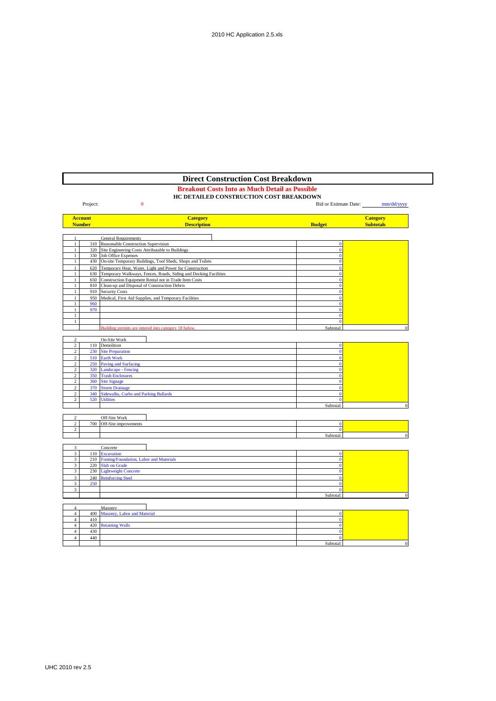# **Breakout Costs Into as Much Detail as Possible Direct Construction Cost Breakdown**

# **HC DETAILED CONSTRUCTION COST BREAKDOWN**

|                         | Project:       | $\overline{0}$                                                       |                | Bid or Estimate Date: mm/dd/yyyy |
|-------------------------|----------------|----------------------------------------------------------------------|----------------|----------------------------------|
|                         | <b>Account</b> | <b>Category</b>                                                      |                | <b>Category</b>                  |
|                         | <b>Number</b>  | <b>Description</b>                                                   | <b>Budget</b>  | <b>Subtotals</b>                 |
|                         |                | <b>General Requirements</b>                                          |                |                                  |
| 1                       |                | 310 Reasonable Construction Supervision                              | $\Omega$       |                                  |
| 1                       |                | 320 Site Engineering Costs Attributable to Buildings                 | $\mathbf{0}$   |                                  |
| $\mathbf{1}$            |                | 330 Job Office Expenses                                              | $\mathbf{0}$   |                                  |
| $\mathbf{1}$            |                | 430 On-site Temporary Buildings, Tool Sheds, Shops and Toilets       | $\mathbf{0}$   |                                  |
| $\mathbf{1}$            | 620            | Temporary Heat, Water, Light and Power for Construction              | $\mathbf{0}$   |                                  |
| $\mathbf{1}$            |                | 630 Temporary Walkways, Fences, Roads, Siding and Docking Facilities | $\Omega$       |                                  |
| $\mathbf{1}$            |                | 650 Construction Equipment Rental not in Trade Item Costs            | $\Omega$       |                                  |
| $\mathbf{1}$            |                | 810 Clean-up and Disposal of Construction Debris                     | $\Omega$       |                                  |
| $\mathbf{1}$            |                | 910 Security Costs                                                   | $\mathbf{0}$   |                                  |
| $\mathbf{1}$            |                | 950 Medical, First Aid Supplies, and Temporary Facilities            | $\Omega$       |                                  |
| 1                       | 960            |                                                                      | $\Omega$       |                                  |
| $\mathbf{1}$            | 970            |                                                                      | $\mathbf{0}$   |                                  |
| $\mathbf{1}$            |                |                                                                      | $\mathbf{0}$   |                                  |
| $\mathbf{1}$            |                |                                                                      | $\mathbf{0}$   |                                  |
|                         |                | Building permits are entered into category 18 below.                 | Subtotal:      |                                  |
|                         |                |                                                                      |                |                                  |
| $\overline{c}$          |                | On-Site Work                                                         |                |                                  |
| $\overline{2}$          |                | 110 Demolition                                                       | $\mathbf{0}$   |                                  |
| $\overline{2}$          |                | 230 Site Preparation                                                 | $\bf{0}$       |                                  |
| $\sqrt{2}$              |                | 510 Earth Work                                                       | $\mathbf{0}$   |                                  |
| $\overline{c}$          |                | 250 Paving and Surfacing                                             | $\mathbf{0}$   |                                  |
| $\overline{c}$          |                | 320 Landscape - Fencing                                              | $\bf{0}$       |                                  |
| $\sqrt{2}$              |                | 350 Trash Enclosures                                                 | $\overline{0}$ |                                  |
| $\sqrt{2}$              |                | 360 Site Signage                                                     | $\bf{0}$       |                                  |
| $\sqrt{2}$              |                | 370 Storm Drainage                                                   | $\mathbf{0}$   |                                  |
| $\overline{c}$          |                | 340 Sidewalks, Curbs and Parking Ballards                            | $\mathbf{0}$   |                                  |
| 2                       |                | 520 Utilities                                                        | $\mathbf{0}$   |                                  |
|                         |                |                                                                      | Subtotal:      |                                  |
|                         |                |                                                                      |                |                                  |
| $\overline{c}$          |                | Off-Site Work                                                        |                |                                  |
| $\overline{2}$          |                | 700 Off-Site improvements                                            | $\mathbf{0}$   |                                  |
| $\overline{c}$          |                |                                                                      | $\mathbf{0}$   |                                  |
|                         |                |                                                                      | Subtotal:      |                                  |
|                         |                |                                                                      |                |                                  |
| 3                       |                | Concrete                                                             |                |                                  |
| $\overline{\mathbf{3}}$ |                | 110 Excavation                                                       | $\mathbf{0}$   |                                  |
| $\overline{\mathbf{3}}$ |                | 210 Footing/Foundation, Labor and Materials                          | $\bf{0}$       |                                  |
| 3                       |                | 220 Slab on Grade                                                    | $\mathbf{0}$   |                                  |
| $\overline{\mathbf{3}}$ |                | 230 Lightweight Concrete                                             | $\mathbf{0}$   |                                  |
| 3                       |                | 240 Reinforcing Steel                                                | $\mathbf{0}$   |                                  |
| $\overline{\mathbf{3}}$ | 250            |                                                                      | $\mathbf{0}$   |                                  |
| $\overline{3}$          |                |                                                                      | $\Omega$       |                                  |
|                         |                |                                                                      | Subtotal:      |                                  |
|                         |                |                                                                      |                |                                  |

|  |     | Masonry                         |           |  |
|--|-----|---------------------------------|-----------|--|
|  |     | 400 Masonry, Labor and Material |           |  |
|  | 410 |                                 |           |  |
|  |     | 420 Retaining Walls             |           |  |
|  | 430 |                                 |           |  |
|  | 440 |                                 |           |  |
|  |     |                                 | Subtotal: |  |
|  |     |                                 |           |  |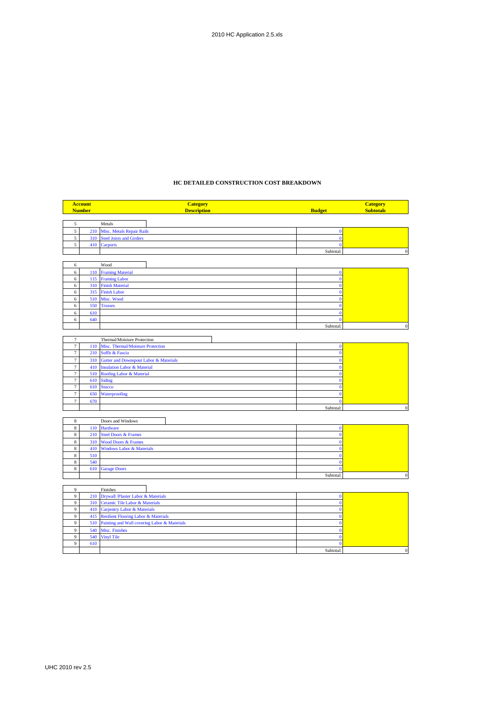## **HC DETAILED CONSTRUCTION COST BREAKDOWN**

| <b>Account</b> |               | <b>Category</b>                              |               | <b>Category</b>  |
|----------------|---------------|----------------------------------------------|---------------|------------------|
|                | <b>Number</b> | <b>Description</b>                           | <b>Budget</b> | <b>Subtotals</b> |
|                |               |                                              |               |                  |
| 5              |               | Metals                                       |               |                  |
| $\overline{5}$ | 210           | <b>Misc. Metals Repair Rails</b>             | $\bf{0}$      |                  |
| 5              | 310           | <b>Steel Joists and Girders</b>              | $\theta$      |                  |
| 5              |               | 410 Carports                                 |               |                  |
|                |               |                                              | Subtotal:     | $\mathbf{0}$     |
|                |               |                                              |               |                  |
| 6              |               | Wood                                         |               |                  |
| 6              | 110           | <b>Framing Material</b>                      | $\mathbf{0}$  |                  |
| 6              | 115           | <b>Framing Labor</b>                         | $\mathbf{0}$  |                  |
| 6              | 310           | <b>Finish Material</b>                       | $\bf{0}$      |                  |
| 6              | 315           | <b>Finish Labor</b>                          | $\Omega$      |                  |
| 6              | 510           | Misc. Wood                                   | n             |                  |
| 6              | 550           | <b>Trusses</b>                               | $\Omega$      |                  |
| $\epsilon$     | 610           |                                              | $\Omega$      |                  |
| 6              | 640           |                                              | $\sqrt{ }$    |                  |
|                |               |                                              | Subtotal:     | $\Omega$         |
|                |               |                                              |               |                  |
| $\overline{7}$ |               | Thermal/Moisture Protection                  |               |                  |
| $\tau$         | 110           | Misc. Thermal/Moisture Protection            | $\mathbf{0}$  |                  |
| $\tau$         | 210           | Soffit & Fascia                              | $\mathbf{0}$  |                  |
| $\tau$         | 310           | Gutter and Downspout Labor & Materials       | $\Omega$      |                  |
| $\overline{7}$ | 410           | <b>Insulation Labor &amp; Material</b>       |               |                  |
| $\tau$         | 510           | Roofing Labor & Material                     | O             |                  |
| $\tau$         | 610           | <b>Siding</b>                                |               |                  |
| $\tau$         | 610           | <b>Stucco</b>                                |               |                  |
| $\tau$         | 650           | Waterproofing                                | о             |                  |
| $\tau$         | 670           |                                              | $\Omega$      |                  |
|                |               |                                              | Subtotal:     | $\Omega$         |
|                |               |                                              |               |                  |
| $\,$ 8 $\,$    |               | Doors and Windows                            |               |                  |
| $\bf 8$        | 110           | <b>Hardware</b>                              | $\Omega$      |                  |
| $\,$ 8 $\,$    | 210           | <b>Steel Doors &amp; Frames</b>              | $\Omega$      |                  |
| $\,$ 8 $\,$    | 310           | <b>Wood Doors &amp; Frames</b>               |               |                  |
| 8              | 410           | <b>Windows Labor &amp; Materials</b>         | n             |                  |
| $\,$ 8 $\,$    | 510           |                                              | $\theta$      |                  |
| $\,$ 8 $\,$    | 540           |                                              | n             |                  |
| $\,$ 8 $\,$    | 610           | <b>Garage Doors</b>                          |               |                  |
|                |               |                                              | Subtotal:     | $\bf{0}$         |
|                |               |                                              |               |                  |
| 9              |               | Finishes                                     |               |                  |
| $\overline{9}$ | 210           | Drywall /Plaster Labor & Materials           | $\Omega$      |                  |
| 9              | 310           | Ceramic Tile Labor & Materials               | $\Omega$      |                  |
| 9              | 410           | <b>Carpentry Labor &amp; Materials</b>       | $\theta$      |                  |
| 9              | 415           | Resilient Flooring Labor & Materials         | $\mathbf 0$   |                  |
| 9              | 510           | Painting and Wall covering Labor & Materials | $\theta$      |                  |

9 540 Misc. Finishes 0 9 540 Vinyl Tile 0 0 540 Vinyl Tile 0 0 540 Vinyl Tile 0 0 540 Vinyl Tile 0 0 0 540 Vinyl Tile 0 0 0 0 540 Vinyl Tile 0 0 0 540 Vinyl Tile 0 0 0 540 Vinyl Tile 0 0 540 Vinyl Tile 0 0 540 Vinyl Tile 0 0 540 Vinyl Tile 0 0 5  $9 \t 610$  0

Subtotal: 0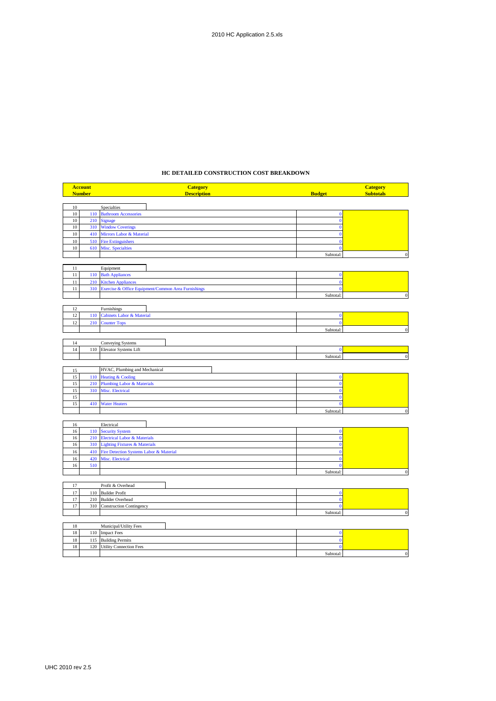## **HC DETAILED CONSTRUCTION COST BREAKDOWN**

|        | <b>Account</b> | <b>Category</b>                                         |                | <b>Category</b>  |
|--------|----------------|---------------------------------------------------------|----------------|------------------|
|        | <b>Number</b>  | <b>Description</b>                                      | <b>Budget</b>  | <b>Subtotals</b> |
|        |                |                                                         |                |                  |
| $10\,$ |                | Specialties                                             |                |                  |
| $10\,$ | 110            | <b>Bathroom Accessories</b>                             | $\bf{0}$       |                  |
| 10     | 210            | <b>Signage</b>                                          | $\mathbf{0}$   |                  |
| 10     | 310            | <b>Window Coverings</b>                                 | $\mathbf{0}$   |                  |
| 10     | 410            | Mirrors Labor & Material                                | $\bf{0}$       |                  |
| 10     | 510            | <b>Fire Extinguishers</b>                               | $\bf{0}$       |                  |
| 10     | 610            | <b>Misc. Specialties</b>                                | $\mathbf{0}$   |                  |
|        |                |                                                         | Subtotal:      | $\Omega$         |
|        |                |                                                         |                |                  |
| 11     |                | Equipment                                               |                |                  |
| 11     | 110            | <b>Bath Appliances</b>                                  | $\bf{0}$       |                  |
| 11     | 210            | <b>Kitchen Appliances</b>                               | $\mathbf{0}$   |                  |
| $11\,$ |                | 310 Exercise & Office Equipment/Common Area Furnishings | $\mathbf{0}$   |                  |
|        |                |                                                         | Subtotal:      | $\Omega$         |
| 12     |                |                                                         |                |                  |
| 12     | 110            | Furnishings<br><b>Cabinets Labor &amp; Material</b>     | $\bf{0}$       |                  |
| 12     |                |                                                         | $\overline{0}$ |                  |
|        | 210            | <b>Counter Tops</b>                                     |                | $\mathbf{0}$     |
|        |                |                                                         | Subtotal       |                  |
| 14     |                | Conveying Systems                                       |                |                  |
| 14     | 110            | Elevator Systems Lift                                   | $\bf{0}$       |                  |
|        |                |                                                         | Subtotal:      | $\boldsymbol{0}$ |
|        |                |                                                         |                |                  |
| 15     |                | HVAC, Plumbing and Mechanical                           |                |                  |
| 15     | 110            | <b>Heating &amp; Cooling</b>                            | $\bf{0}$       |                  |
| 15     | 210            | <b>Plumbing Labor &amp; Materials</b>                   | $\bf{0}$       |                  |
| 15     | 310            | Misc. Electrical                                        | $\bf{0}$       |                  |
| 15     |                |                                                         | $\bf{0}$       |                  |
| 15     | 410            | <b>Water Heaters</b>                                    | $\bf{0}$       |                  |
|        |                |                                                         | Subtotal:      | $\mathbf{0}$     |
|        |                |                                                         |                |                  |
| 16     |                | Electrical                                              |                |                  |
| $16\,$ | 110            | <b>Security System</b>                                  | $\bf{0}$       |                  |
| 16     | 210            | <b>Electrical Labor &amp; Materials</b>                 | $\bf{0}$       |                  |
| 16     | 310            | <b>Lighting Fixtures &amp; Materials</b>                | $\mathbf{0}$   |                  |
| 16     | 410            | Fire Detection Systems Labor & Material                 | $\theta$       |                  |
| 16     | 420            | Misc. Electrical                                        | $\bf{0}$       |                  |
| 16     | 510            |                                                         | $\bf{0}$       |                  |
|        |                |                                                         | Subtotal:      | $\Omega$         |
|        |                |                                                         |                |                  |
| 17     |                | Profit & Overhead                                       |                |                  |
| 17     |                | 110 Builder Profit                                      | $\bf{0}$       |                  |
| 17     | 210            | <b>Builder Overhead</b>                                 | $\bf{0}$       |                  |
| 17     | 310            | <b>Construction Contingency</b>                         | $\bf{0}$       |                  |
|        |                |                                                         | Subtotal:      | $\bf{0}$         |
|        |                |                                                         |                |                  |
| 18     |                | Municipal/Utility Fees                                  |                |                  |
| 18     | 110            | <b>Impact Fees</b>                                      | $\bf{0}$       |                  |
| 18     | 115            | <b>Building Permits</b>                                 | $\mathbf{0}$   |                  |
| 18     | 120            | <b>Utility Connection Fees</b>                          | $\mathbf{0}$   |                  |
|        |                |                                                         | Subtotal:      | $\mathbf{0}$     |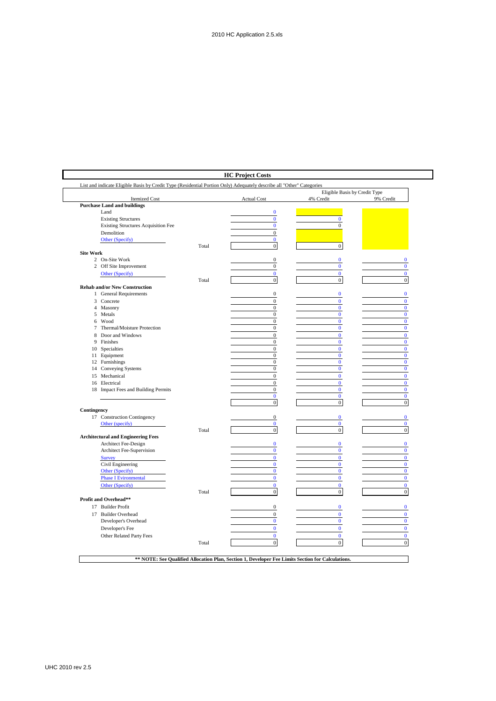|                  |                                            |       |                                      | Eligible Basis by Credit Type     |                              |
|------------------|--------------------------------------------|-------|--------------------------------------|-----------------------------------|------------------------------|
|                  | <b>Itemized Cost</b>                       |       | <b>Actual Cost</b>                   | 4% Credit                         | 9% Credit                    |
|                  | <b>Purchase Land and buildings</b>         |       |                                      | and the control of the control of |                              |
|                  | Land                                       |       | $\bf{0}$                             |                                   |                              |
|                  | <b>Existing Structures</b>                 |       | $\bf{0}$                             | $\mathbf{0}$                      |                              |
|                  | <b>Existing Structures Acquisition Fee</b> |       | $\bf{0}$                             | $\mathbf{0}$                      |                              |
|                  | Demolition                                 |       | $\mathbf{0}$                         |                                   |                              |
|                  | Other (Specify)                            |       | $\mathbf{0}$                         |                                   |                              |
|                  |                                            | Total | $\mathbf{0}$                         | $\boldsymbol{0}$                  |                              |
| <b>Site Work</b> |                                            |       |                                      | $\bf{0}$                          |                              |
|                  | 2 On-Site Work<br>2 Off Site Improvement   |       | $\mathbf{0}$<br>$\boldsymbol{0}$     | $\bf{0}$                          | $\bf{0}$<br>$\bf{0}$         |
|                  |                                            |       | $\mathbf{0}$                         |                                   | $\mathbf{0}$                 |
|                  | Other (Specify)                            |       | $\boldsymbol{0}$                     | $\bf{0}$<br>$\boldsymbol{0}$      | $\mathbf{0}$                 |
|                  |                                            | Total |                                      |                                   |                              |
|                  | <b>Rehab and/or New Construction</b>       |       | $\mathbf{0}$                         | $\bf{0}$                          | $\mathbf{0}$                 |
|                  | 1 General Requirements                     |       |                                      | $\mathbf{0}$                      |                              |
|                  | 3 Concrete                                 |       | $\mathbf{0}$<br>$\mathbf{0}$         | $\mathbf{0}$                      | $\mathbf{0}$<br>$\mathbf{0}$ |
|                  | 4 Masonry                                  |       |                                      | $\mathbf{0}$                      | $\mathbf{0}$                 |
|                  | 5 Metals<br>6 Wood                         |       | $\mathbf{0}$<br>$\boldsymbol{0}$     | $\bf{0}$                          | $\bf{0}$                     |
| 7                | Thermal/Moisture Protection                |       | $\mathbf 0$                          | $\bf{0}$                          | $\bf{0}$                     |
|                  | 8 Door and Windows                         |       |                                      | $\bf{0}$                          | $\mathbf{0}$                 |
|                  | 9 Finishes                                 |       | $\boldsymbol{0}$                     |                                   |                              |
|                  | 10 Specialties                             |       | $\boldsymbol{0}$<br>$\boldsymbol{0}$ | $\bf{0}$<br>$\bf{0}$              | $\bf{0}$<br>$\bf{0}$         |
|                  | 11 Equipment                               |       | $\boldsymbol{0}$                     | $\pmb{0}$                         | $\bf{0}$                     |
|                  | 12 Furnishings                             |       | $\boldsymbol{0}$                     | $\bf{0}$                          | $\bf{0}$                     |
|                  | 14 Conveying Systems                       |       | $\boldsymbol{0}$                     | $\pmb{0}$                         | $\bf{0}$                     |
|                  | 15 Mechanical                              |       | $\boldsymbol{0}$                     | $\bf{0}$                          | $\bf{0}$                     |
|                  | 16 Electrical                              |       | $\boldsymbol{0}$                     | $\mathbf{0}$                      | $\mathbf{0}$                 |
|                  | 18 Impact Fees and Building Permits        |       | $\mathbf{0}$                         | $\mathbf{0}$                      | $\bf{0}$                     |
|                  |                                            |       | $\mathbf{0}$                         | $\mathbf{0}$                      | $\mathbf{0}$                 |
|                  |                                            |       | $\mathbf{0}$                         | $\boldsymbol{0}$                  | $\boldsymbol{0}$             |
| Contingency      |                                            |       |                                      |                                   |                              |
|                  | 17 Construction Contingency                |       | $\bf{0}$                             | $\bf{0}$                          | $\bf{0}$                     |
|                  | Other (specify)                            |       | $\bf{0}$                             | $\bf{0}$                          | $\mathbf{0}$                 |
|                  |                                            | Total | $\mathbf{0}$                         | $\mathbf{0}$                      | $\boldsymbol{0}$             |
|                  | <b>Architectural and Engineering Fees</b>  |       |                                      |                                   |                              |
|                  | Architect Fee-Design                       |       | $\pmb{0}$                            | $\bf{0}$                          | $\bf{0}$                     |
|                  | Architect Fee-Supervision                  |       | $\bf{0}$                             | $\bf{0}$                          | $\bf{0}$                     |
|                  | <b>Survey</b>                              |       | $\bf{0}$                             | $\bf{0}$                          | $\mathbf{0}$                 |
|                  | Civil Engineering                          |       | $\bf{0}$                             | $\bf{0}$                          | $\bf{0}$                     |
|                  | Other (Specify)                            |       | $\bf{0}$                             | $\mathbf{0}$                      | $\mathbf{0}$                 |
|                  | <b>Phase I Evironmental</b>                |       | $\bf{0}$                             | $\bf{0}$                          | $\bf{0}$                     |
|                  | Other (Specify)                            |       | $\mathbf{0}$                         | $\mathbf{0}$                      | $\mathbf{0}$                 |
|                  |                                            | Total | $\mathbf{0}$                         | $\boldsymbol{0}$                  | $\boldsymbol{0}$             |
|                  | Profit and Overhead**                      |       |                                      |                                   |                              |
|                  | 17 Builder Profit                          |       | $\mathbf{0}$                         | $\bf{0}$                          | $\mathbf{0}$                 |
|                  | 17 Builder Overhead                        |       | $\boldsymbol{0}$                     | $\mathbf{0}$                      | $\bf{0}$                     |
|                  | Developer's Overhead                       |       | $\bf{0}$                             | $\mathbf{0}$                      | $\mathbf{0}$                 |
|                  | Developer's Fee                            |       | $\mathbf{0}$                         | $\mathbf{0}$                      | $\mathbf{0}$                 |
|                  |                                            |       |                                      | $\mathbf{0}$                      |                              |
|                  | Other Related Party Fees                   |       | $\mathbf{0}$<br>$\mathbf{0}$         | $\overline{0}$                    | $\mathbf{0}$                 |
|                  |                                            | Total |                                      |                                   | $\mathbf{0}$                 |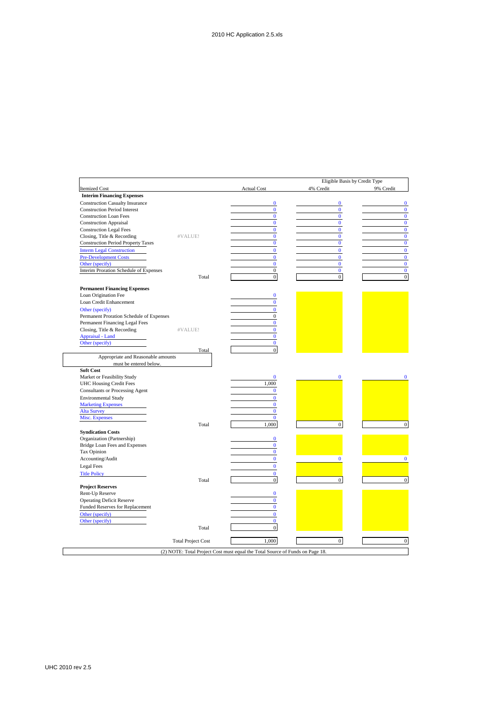|                                                               |                           |                          | Eligible Basis by Credit Type |           |
|---------------------------------------------------------------|---------------------------|--------------------------|-------------------------------|-----------|
| <b>Itemized Cost</b>                                          |                           | <b>Actual Cost</b>       | 4% Credit                     | 9% Credit |
| <b>Interim Financing Expenses</b>                             |                           |                          |                               |           |
| <b>Construction Casualty Insurance</b>                        |                           | $\bf{0}$                 | $\mathbf{0}$                  |           |
| <b>Construction Period Interest</b>                           |                           | $\bf{0}$                 | $\mathbf{0}$                  |           |
| <b>Construction Loan Fees</b>                                 |                           | $\mathbf{0}$             | $\mathbf{0}$                  |           |
| <b>Construction Appraisal</b>                                 |                           | $\bf{0}$                 | $\mathbf{0}$                  |           |
| <b>Construction Legal Fees</b>                                |                           | $\bf{0}$                 | $\mathbf{0}$                  |           |
| Closing, Title & Recording                                    | #VALUE!                   | $\bf{0}$                 | $\mathbf{0}$                  |           |
| <b>Construction Period Property Taxes</b>                     |                           | $\overline{0}$           | $\mathbf{0}$                  |           |
| <b>Interm Legal Construction</b>                              |                           | $\bf{0}$                 | $\mathbf{0}$                  |           |
| <b>Pre-Development Costs</b>                                  |                           | $\bf{0}$                 | $\mathbf{0}$                  |           |
| Other (specify)                                               |                           | $\bf{0}$                 | $\bf{0}$                      |           |
| Interim Proration Schedule of Expenses                        |                           | $\boldsymbol{0}$         | $\bf{0}$                      |           |
|                                                               | Total                     | $\boldsymbol{0}$         | $\mathbf{0}$                  |           |
| <b>Permanent Financing Expenses</b>                           |                           |                          |                               |           |
| Loan Origination Fee                                          |                           | $\bf{0}$                 |                               |           |
| Loan Credit Enhancement                                       |                           | $\bf{0}$                 |                               |           |
|                                                               |                           |                          |                               |           |
| Other (specify)                                               |                           | $\bf{0}$                 |                               |           |
| Permanent Proration Schedule of Expenses                      |                           | $\mathbf{0}$             |                               |           |
| Permanent Financing Legal Fees                                | #VALUE!                   | $\bf{0}$<br>$\mathbf{0}$ |                               |           |
| Closing, Title & Recording                                    |                           | $\mathbf{0}$             |                               |           |
| Appraisal - Land                                              |                           | $\bf{0}$                 |                               |           |
| Other (specify)<br><b>Contract Contract</b>                   | Total                     | $\overline{0}$           |                               |           |
| Market or Feasibility Study<br><b>UHC Housing Credit Fees</b> |                           | $\bf{0}$<br>1.000        | $\mathbf{0}$                  |           |
| <b>Consultants or Processing Agent</b>                        |                           | $\bf{0}$                 |                               |           |
| <b>Environmental Study</b>                                    |                           | $\bf{0}$                 |                               |           |
| <b>Marketing Expenses</b>                                     |                           | $\mathbf{0}$             |                               |           |
| Alta Survey                                                   |                           | $\mathbf{0}$             |                               |           |
| Misc. Expenses                                                |                           | $\bf{0}$                 |                               |           |
|                                                               | Total                     | 1,000                    | $\mathbf{0}$                  |           |
| <b>Syndication Costs</b>                                      |                           |                          |                               |           |
| Organization (Partnership)                                    |                           | $\bf{0}$                 |                               |           |
| Bridge Loan Fees and Expenses                                 |                           | $\bf{0}$                 |                               |           |
| Tax Opinion                                                   |                           | $\mathbf{0}$             |                               |           |
| Accounting/Audit                                              |                           | $\bf{0}$                 | $\bf{0}$                      |           |
| Legal Fees                                                    |                           | $\bf{0}$                 |                               |           |
| <b>Title Policy</b>                                           |                           | $\mathbf{0}$             |                               |           |
|                                                               | Total                     | $\overline{0}$           | $\mathbf{0}$                  |           |
| <b>Project Reserves</b>                                       |                           |                          |                               |           |
| Rent-Up Reserve                                               |                           | $\bf{0}$                 |                               |           |
| <b>Operating Deficit Reserve</b>                              |                           | $\mathbf{0}$             |                               |           |
| Funded Reserves for Replacement                               |                           | $\bf{0}$                 |                               |           |
| Other (specify)                                               |                           | $\mathbf{0}$             |                               |           |
| Other (specify)                                               |                           | $\mathbf{0}$             |                               |           |
|                                                               | Total                     | $\overline{0}$           |                               |           |
|                                                               |                           |                          |                               |           |
|                                                               | <b>Total Project Cost</b> | 1,000                    | $\overline{0}$                |           |

 $\overline{1}$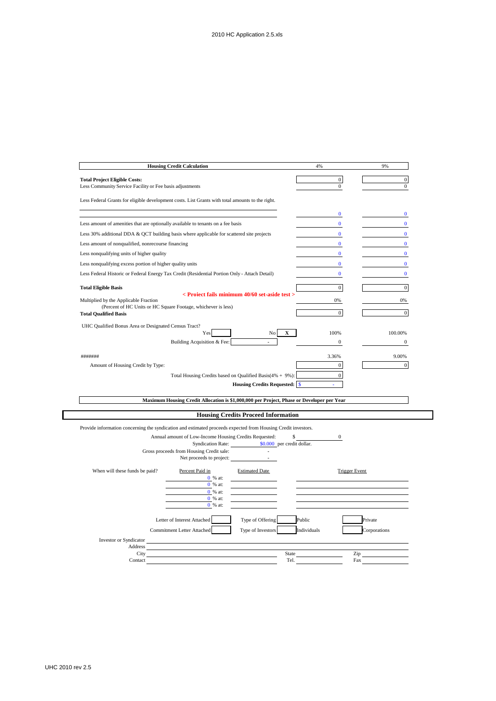|                                                                                                               | <b>Housing Credit Calculation</b>                                                         |                                                | 4%                   | 9%               |
|---------------------------------------------------------------------------------------------------------------|-------------------------------------------------------------------------------------------|------------------------------------------------|----------------------|------------------|
| <b>Total Project Eligible Costs:</b>                                                                          |                                                                                           |                                                | $\mathbf{0}$         | $\mathbf{0}$     |
| Less Community Service Facility or Fee basis adjustments                                                      |                                                                                           |                                                | $\mathbf{0}$         | $\boldsymbol{0}$ |
|                                                                                                               |                                                                                           |                                                |                      |                  |
| Less Federal Grants for eligible development costs. List Grants with total amounts to the right.              |                                                                                           |                                                |                      |                  |
|                                                                                                               |                                                                                           |                                                | $\bf{0}$             | $\bf{0}$         |
| Less amount of amenities that are optionally available to tenants on a fee basis                              |                                                                                           |                                                | $\bf{0}$             | $\bf{0}$         |
| Less 30% additional DDA & QCT building basis where applicable for scattered site projects                     |                                                                                           |                                                | $\bf{0}$             | $\bf{0}$         |
| Less amount of nonqualified, nonrecourse financing                                                            |                                                                                           |                                                | $\mathbf{0}$         | $\mathbf{0}$     |
| Less nonqualifying units of higher quality                                                                    |                                                                                           |                                                | $\bf{0}$             | $\bf{0}$         |
| Less nonqualifying excess portion of higher quality units                                                     |                                                                                           |                                                | $\bf{0}$             | $\bf{0}$         |
| Less Federal Historic or Federal Energy Tax Credit (Residential Portion Only - Attach Detail)                 |                                                                                           |                                                | $\bf{0}$             | $\bf{0}$         |
| <b>Total Eligible Basis</b>                                                                                   |                                                                                           |                                                | $\mathbf{0}$         | $\mathbf{0}$     |
|                                                                                                               |                                                                                           | < Proiect fails minimum 40/60 set-aside test > |                      |                  |
| Multiplied by the Applicable Fraction                                                                         | (Percent of HC Units or HC Square Footage, whichever is less)                             |                                                | 0%                   | 0%               |
| <b>Total Qualified Basis</b>                                                                                  |                                                                                           |                                                | $\mathbf{0}$         | $\mathbf{0}$     |
| UHC Qualified Bonus Area or Designated Census Tract?                                                          |                                                                                           |                                                |                      |                  |
|                                                                                                               | Yes                                                                                       | X<br>No                                        | 100%                 | 100.00%          |
|                                                                                                               | Building Acquisition & Fee:                                                               |                                                | 0                    | $\boldsymbol{0}$ |
| #######                                                                                                       |                                                                                           |                                                | 3.36%                | 9.00%            |
| Amount of Housing Credit by Type:                                                                             |                                                                                           |                                                | $\mathbf{0}$         | $\overline{0}$   |
|                                                                                                               | Total Housing Credits based on Qualified Basis(4% + 9%):                                  |                                                | $\boldsymbol{0}$     |                  |
|                                                                                                               |                                                                                           | <b>Housing Credits Requested: \$</b>           |                      |                  |
|                                                                                                               |                                                                                           |                                                |                      |                  |
|                                                                                                               | Maximum Housing Credit Allocation is \$1,000,000 per Project, Phase or Developer per Year |                                                |                      |                  |
|                                                                                                               |                                                                                           | <b>Housing Credits Proceed Information</b>     |                      |                  |
| Provide information concerning the syndication and estimated proceeds expected from Housing Credit investors. |                                                                                           |                                                |                      |                  |
|                                                                                                               | Annual amount of Low-Income Housing Credits Requested:                                    | \$                                             | $\boldsymbol{0}$     |                  |
|                                                                                                               | <b>Syndication Rate:</b>                                                                  | \$0.000 per credit dollar.                     |                      |                  |
|                                                                                                               | Gross proceeds from Housing Credit sale:<br>Net proceeds to project:                      |                                                |                      |                  |
|                                                                                                               |                                                                                           |                                                |                      |                  |
| When will these funds be paid?                                                                                | Percent Paid in<br>0 % at:                                                                | <b>Estimated Date</b>                          | <b>Trigger Event</b> |                  |
|                                                                                                               | 0 % at:                                                                                   |                                                |                      |                  |
|                                                                                                               | 0 % at:                                                                                   |                                                |                      |                  |
|                                                                                                               | 0 % at:<br>0 % at:                                                                        |                                                |                      |                  |
|                                                                                                               |                                                                                           |                                                |                      |                  |
|                                                                                                               | Letter of Interest Attached                                                               | Public<br>Type of Offering                     |                      | Private          |
|                                                                                                               | <b>Commitment Letter Attached</b>                                                         | Type of Investors                              | Individuals          | Corporations     |
| Investor or Syndicator                                                                                        |                                                                                           |                                                |                      |                  |
| <b>Address</b><br>City                                                                                        |                                                                                           | State                                          | Zip                  |                  |
| Contact                                                                                                       |                                                                                           | Tel.                                           | Fax                  |                  |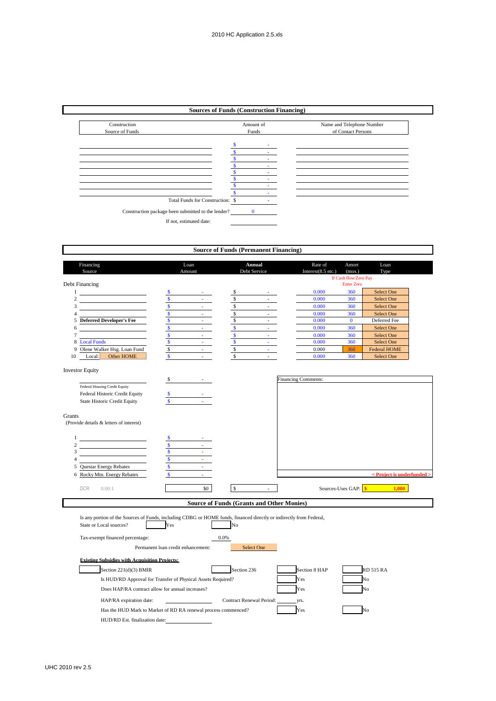| Amount of<br>Name and Telephone Number<br>Construction<br>Source of Funds<br>Funds<br>of Contact Persons<br>S<br>\$<br>\$<br>$\mathcal{L}^{\text{max}}$<br>\$<br>$\omega_{\rm{max}}$<br>\$<br>$\Delta \sim 100$<br>\$<br>\$<br>$\Delta \sim 10$<br>$\mathbf{s}$<br>Total Funds for Construction: \$<br>Construction package been submitted to the lender? 0<br>If not, estimated date:<br><b>Source of Funds (Permanent Financing)</b><br>Financing<br>Loan<br>Annual<br>Rate of<br>Amort<br>Loan<br>Debt Service<br>Source<br>Amount<br>Interest(8.5 etc.)<br>(mos.)<br>Type<br>If Cash flow/Zero Pay<br><b>Enter Zero</b><br>360<br>Select One<br>0.000<br>\$<br>0.000<br>360<br><b>Select One</b><br>$\overline{\mathbf{s}}$<br>\$<br>0.000<br>Select One<br>$\mathcal{L}_{\mathrm{max}}$<br>360<br>$\omega_{\rm{max}}$<br>$rac{s}{s}$<br>$\mathbb{S}$<br><b>Select One</b><br>$\Delta \sim 10^4$<br>$\sim$<br>0.000<br>360<br>$\overline{\mathsf{s}}$<br>$\omega_{\rm{max}}$<br>0.000<br>$\mathbf{0}$<br>Deferred Fee<br>$\mathcal{L}^{\text{max}}$<br>$\overline{\mathbf{S}}$<br>$\overline{\mathbf{s}}$<br>Select One<br>$\sim$ $\pm$<br>$\Delta \sim 100$<br>0.000<br>360<br>$\overline{\mathbf{s}}$<br>$\overline{\mathbf{S}}$<br>0.000<br>360<br>Select One<br>$\tau_{\rm max}$<br>$\sigma_{\rm{max}}$<br>$\overline{\mathbf{S}}$<br>$\mathbf{s}$<br>Select One<br>$\Delta\sim 10^4$<br>0.000<br>360<br>$\Delta \sim 10^4$<br>$\mathbb{S}$<br>$\mathbb{S}$<br>$\omega_{\rm{max}}$<br>$\omega_{\rm{max}}$<br>360<br><b>Federal HOME</b><br>0.000<br>$\mathbb{S}$<br>$\mathbf{s}$<br>Other HOME<br>$\sim 10^{-10}$<br>$\Delta \sim 10^{-1}$<br>0.000<br>360<br>Select One<br>Local: |                                         |    | <b>Sources of Funds (Construction Financing)</b> |  |  |  |
|--------------------------------------------------------------------------------------------------------------------------------------------------------------------------------------------------------------------------------------------------------------------------------------------------------------------------------------------------------------------------------------------------------------------------------------------------------------------------------------------------------------------------------------------------------------------------------------------------------------------------------------------------------------------------------------------------------------------------------------------------------------------------------------------------------------------------------------------------------------------------------------------------------------------------------------------------------------------------------------------------------------------------------------------------------------------------------------------------------------------------------------------------------------------------------------------------------------------------------------------------------------------------------------------------------------------------------------------------------------------------------------------------------------------------------------------------------------------------------------------------------------------------------------------------------------------------------------------------------------------------------------------------------------------------------------------|-----------------------------------------|----|--------------------------------------------------|--|--|--|
|                                                                                                                                                                                                                                                                                                                                                                                                                                                                                                                                                                                                                                                                                                                                                                                                                                                                                                                                                                                                                                                                                                                                                                                                                                                                                                                                                                                                                                                                                                                                                                                                                                                                                            |                                         |    |                                                  |  |  |  |
|                                                                                                                                                                                                                                                                                                                                                                                                                                                                                                                                                                                                                                                                                                                                                                                                                                                                                                                                                                                                                                                                                                                                                                                                                                                                                                                                                                                                                                                                                                                                                                                                                                                                                            |                                         |    |                                                  |  |  |  |
|                                                                                                                                                                                                                                                                                                                                                                                                                                                                                                                                                                                                                                                                                                                                                                                                                                                                                                                                                                                                                                                                                                                                                                                                                                                                                                                                                                                                                                                                                                                                                                                                                                                                                            |                                         |    |                                                  |  |  |  |
|                                                                                                                                                                                                                                                                                                                                                                                                                                                                                                                                                                                                                                                                                                                                                                                                                                                                                                                                                                                                                                                                                                                                                                                                                                                                                                                                                                                                                                                                                                                                                                                                                                                                                            |                                         |    |                                                  |  |  |  |
|                                                                                                                                                                                                                                                                                                                                                                                                                                                                                                                                                                                                                                                                                                                                                                                                                                                                                                                                                                                                                                                                                                                                                                                                                                                                                                                                                                                                                                                                                                                                                                                                                                                                                            |                                         |    |                                                  |  |  |  |
|                                                                                                                                                                                                                                                                                                                                                                                                                                                                                                                                                                                                                                                                                                                                                                                                                                                                                                                                                                                                                                                                                                                                                                                                                                                                                                                                                                                                                                                                                                                                                                                                                                                                                            |                                         |    |                                                  |  |  |  |
| $\,1$<br>$\overline{c}$<br>3<br>$\overline{4}$<br>5 Deferred Developer's Fee<br>6<br>7<br>8 Local Funds                                                                                                                                                                                                                                                                                                                                                                                                                                                                                                                                                                                                                                                                                                                                                                                                                                                                                                                                                                                                                                                                                                                                                                                                                                                                                                                                                                                                                                                                                                                                                                                    |                                         |    |                                                  |  |  |  |
| 9 Olene Walker Hsg. Loan Fund                                                                                                                                                                                                                                                                                                                                                                                                                                                                                                                                                                                                                                                                                                                                                                                                                                                                                                                                                                                                                                                                                                                                                                                                                                                                                                                                                                                                                                                                                                                                                                                                                                                              |                                         |    |                                                  |  |  |  |
|                                                                                                                                                                                                                                                                                                                                                                                                                                                                                                                                                                                                                                                                                                                                                                                                                                                                                                                                                                                                                                                                                                                                                                                                                                                                                                                                                                                                                                                                                                                                                                                                                                                                                            |                                         |    |                                                  |  |  |  |
|                                                                                                                                                                                                                                                                                                                                                                                                                                                                                                                                                                                                                                                                                                                                                                                                                                                                                                                                                                                                                                                                                                                                                                                                                                                                                                                                                                                                                                                                                                                                                                                                                                                                                            |                                         |    |                                                  |  |  |  |
|                                                                                                                                                                                                                                                                                                                                                                                                                                                                                                                                                                                                                                                                                                                                                                                                                                                                                                                                                                                                                                                                                                                                                                                                                                                                                                                                                                                                                                                                                                                                                                                                                                                                                            |                                         |    |                                                  |  |  |  |
|                                                                                                                                                                                                                                                                                                                                                                                                                                                                                                                                                                                                                                                                                                                                                                                                                                                                                                                                                                                                                                                                                                                                                                                                                                                                                                                                                                                                                                                                                                                                                                                                                                                                                            |                                         |    |                                                  |  |  |  |
| Debt Financing                                                                                                                                                                                                                                                                                                                                                                                                                                                                                                                                                                                                                                                                                                                                                                                                                                                                                                                                                                                                                                                                                                                                                                                                                                                                                                                                                                                                                                                                                                                                                                                                                                                                             |                                         |    |                                                  |  |  |  |
|                                                                                                                                                                                                                                                                                                                                                                                                                                                                                                                                                                                                                                                                                                                                                                                                                                                                                                                                                                                                                                                                                                                                                                                                                                                                                                                                                                                                                                                                                                                                                                                                                                                                                            |                                         |    |                                                  |  |  |  |
|                                                                                                                                                                                                                                                                                                                                                                                                                                                                                                                                                                                                                                                                                                                                                                                                                                                                                                                                                                                                                                                                                                                                                                                                                                                                                                                                                                                                                                                                                                                                                                                                                                                                                            |                                         |    |                                                  |  |  |  |
|                                                                                                                                                                                                                                                                                                                                                                                                                                                                                                                                                                                                                                                                                                                                                                                                                                                                                                                                                                                                                                                                                                                                                                                                                                                                                                                                                                                                                                                                                                                                                                                                                                                                                            |                                         |    |                                                  |  |  |  |
|                                                                                                                                                                                                                                                                                                                                                                                                                                                                                                                                                                                                                                                                                                                                                                                                                                                                                                                                                                                                                                                                                                                                                                                                                                                                                                                                                                                                                                                                                                                                                                                                                                                                                            |                                         |    |                                                  |  |  |  |
|                                                                                                                                                                                                                                                                                                                                                                                                                                                                                                                                                                                                                                                                                                                                                                                                                                                                                                                                                                                                                                                                                                                                                                                                                                                                                                                                                                                                                                                                                                                                                                                                                                                                                            |                                         |    |                                                  |  |  |  |
|                                                                                                                                                                                                                                                                                                                                                                                                                                                                                                                                                                                                                                                                                                                                                                                                                                                                                                                                                                                                                                                                                                                                                                                                                                                                                                                                                                                                                                                                                                                                                                                                                                                                                            |                                         |    |                                                  |  |  |  |
|                                                                                                                                                                                                                                                                                                                                                                                                                                                                                                                                                                                                                                                                                                                                                                                                                                                                                                                                                                                                                                                                                                                                                                                                                                                                                                                                                                                                                                                                                                                                                                                                                                                                                            |                                         |    |                                                  |  |  |  |
|                                                                                                                                                                                                                                                                                                                                                                                                                                                                                                                                                                                                                                                                                                                                                                                                                                                                                                                                                                                                                                                                                                                                                                                                                                                                                                                                                                                                                                                                                                                                                                                                                                                                                            |                                         |    |                                                  |  |  |  |
|                                                                                                                                                                                                                                                                                                                                                                                                                                                                                                                                                                                                                                                                                                                                                                                                                                                                                                                                                                                                                                                                                                                                                                                                                                                                                                                                                                                                                                                                                                                                                                                                                                                                                            |                                         |    |                                                  |  |  |  |
|                                                                                                                                                                                                                                                                                                                                                                                                                                                                                                                                                                                                                                                                                                                                                                                                                                                                                                                                                                                                                                                                                                                                                                                                                                                                                                                                                                                                                                                                                                                                                                                                                                                                                            |                                         |    |                                                  |  |  |  |
|                                                                                                                                                                                                                                                                                                                                                                                                                                                                                                                                                                                                                                                                                                                                                                                                                                                                                                                                                                                                                                                                                                                                                                                                                                                                                                                                                                                                                                                                                                                                                                                                                                                                                            |                                         |    |                                                  |  |  |  |
|                                                                                                                                                                                                                                                                                                                                                                                                                                                                                                                                                                                                                                                                                                                                                                                                                                                                                                                                                                                                                                                                                                                                                                                                                                                                                                                                                                                                                                                                                                                                                                                                                                                                                            |                                         |    |                                                  |  |  |  |
|                                                                                                                                                                                                                                                                                                                                                                                                                                                                                                                                                                                                                                                                                                                                                                                                                                                                                                                                                                                                                                                                                                                                                                                                                                                                                                                                                                                                                                                                                                                                                                                                                                                                                            |                                         |    |                                                  |  |  |  |
|                                                                                                                                                                                                                                                                                                                                                                                                                                                                                                                                                                                                                                                                                                                                                                                                                                                                                                                                                                                                                                                                                                                                                                                                                                                                                                                                                                                                                                                                                                                                                                                                                                                                                            |                                         |    |                                                  |  |  |  |
|                                                                                                                                                                                                                                                                                                                                                                                                                                                                                                                                                                                                                                                                                                                                                                                                                                                                                                                                                                                                                                                                                                                                                                                                                                                                                                                                                                                                                                                                                                                                                                                                                                                                                            |                                         |    |                                                  |  |  |  |
| 10                                                                                                                                                                                                                                                                                                                                                                                                                                                                                                                                                                                                                                                                                                                                                                                                                                                                                                                                                                                                                                                                                                                                                                                                                                                                                                                                                                                                                                                                                                                                                                                                                                                                                         |                                         |    |                                                  |  |  |  |
|                                                                                                                                                                                                                                                                                                                                                                                                                                                                                                                                                                                                                                                                                                                                                                                                                                                                                                                                                                                                                                                                                                                                                                                                                                                                                                                                                                                                                                                                                                                                                                                                                                                                                            |                                         |    |                                                  |  |  |  |
|                                                                                                                                                                                                                                                                                                                                                                                                                                                                                                                                                                                                                                                                                                                                                                                                                                                                                                                                                                                                                                                                                                                                                                                                                                                                                                                                                                                                                                                                                                                                                                                                                                                                                            |                                         |    |                                                  |  |  |  |
|                                                                                                                                                                                                                                                                                                                                                                                                                                                                                                                                                                                                                                                                                                                                                                                                                                                                                                                                                                                                                                                                                                                                                                                                                                                                                                                                                                                                                                                                                                                                                                                                                                                                                            |                                         |    |                                                  |  |  |  |
|                                                                                                                                                                                                                                                                                                                                                                                                                                                                                                                                                                                                                                                                                                                                                                                                                                                                                                                                                                                                                                                                                                                                                                                                                                                                                                                                                                                                                                                                                                                                                                                                                                                                                            |                                         |    |                                                  |  |  |  |
| <b>Investor Equity</b>                                                                                                                                                                                                                                                                                                                                                                                                                                                                                                                                                                                                                                                                                                                                                                                                                                                                                                                                                                                                                                                                                                                                                                                                                                                                                                                                                                                                                                                                                                                                                                                                                                                                     |                                         | S. |                                                  |  |  |  |
| <b>Financing Comments:</b>                                                                                                                                                                                                                                                                                                                                                                                                                                                                                                                                                                                                                                                                                                                                                                                                                                                                                                                                                                                                                                                                                                                                                                                                                                                                                                                                                                                                                                                                                                                                                                                                                                                                 | Federal Housing Credit Equity           |    |                                                  |  |  |  |
|                                                                                                                                                                                                                                                                                                                                                                                                                                                                                                                                                                                                                                                                                                                                                                                                                                                                                                                                                                                                                                                                                                                                                                                                                                                                                                                                                                                                                                                                                                                                                                                                                                                                                            | Federal Historic Credit Equity          |    |                                                  |  |  |  |
|                                                                                                                                                                                                                                                                                                                                                                                                                                                                                                                                                                                                                                                                                                                                                                                                                                                                                                                                                                                                                                                                                                                                                                                                                                                                                                                                                                                                                                                                                                                                                                                                                                                                                            | State Historic Credit Equity            |    |                                                  |  |  |  |
|                                                                                                                                                                                                                                                                                                                                                                                                                                                                                                                                                                                                                                                                                                                                                                                                                                                                                                                                                                                                                                                                                                                                                                                                                                                                                                                                                                                                                                                                                                                                                                                                                                                                                            |                                         |    |                                                  |  |  |  |
|                                                                                                                                                                                                                                                                                                                                                                                                                                                                                                                                                                                                                                                                                                                                                                                                                                                                                                                                                                                                                                                                                                                                                                                                                                                                                                                                                                                                                                                                                                                                                                                                                                                                                            | Grants                                  |    |                                                  |  |  |  |
|                                                                                                                                                                                                                                                                                                                                                                                                                                                                                                                                                                                                                                                                                                                                                                                                                                                                                                                                                                                                                                                                                                                                                                                                                                                                                                                                                                                                                                                                                                                                                                                                                                                                                            | (Provide details & letters of interest) |    |                                                  |  |  |  |
|                                                                                                                                                                                                                                                                                                                                                                                                                                                                                                                                                                                                                                                                                                                                                                                                                                                                                                                                                                                                                                                                                                                                                                                                                                                                                                                                                                                                                                                                                                                                                                                                                                                                                            |                                         |    |                                                  |  |  |  |
|                                                                                                                                                                                                                                                                                                                                                                                                                                                                                                                                                                                                                                                                                                                                                                                                                                                                                                                                                                                                                                                                                                                                                                                                                                                                                                                                                                                                                                                                                                                                                                                                                                                                                            | $\mathbf{1}$                            | -S |                                                  |  |  |  |
|                                                                                                                                                                                                                                                                                                                                                                                                                                                                                                                                                                                                                                                                                                                                                                                                                                                                                                                                                                                                                                                                                                                                                                                                                                                                                                                                                                                                                                                                                                                                                                                                                                                                                            |                                         |    |                                                  |  |  |  |

|                                                                                                                      | \$<br>$\mathbf{s}$                 |                                                  |      |               |                      |                            |
|----------------------------------------------------------------------------------------------------------------------|------------------------------------|--------------------------------------------------|------|---------------|----------------------|----------------------------|
| 5 Questar Energy Rebates                                                                                             | S                                  |                                                  |      |               |                      |                            |
| 6 Rocky Mtn. Energy Rebates                                                                                          |                                    |                                                  |      |               |                      | < Project is underfunded > |
|                                                                                                                      |                                    |                                                  |      |               |                      |                            |
| <b>DCR</b><br>0.00:1                                                                                                 |                                    | $\mathbf{s}$<br>\$0                              |      |               | Sources-Uses GAP: \$ | 1.000                      |
|                                                                                                                      |                                    | <b>Source of Funds (Grants and Other Monies)</b> |      |               |                      |                            |
|                                                                                                                      |                                    |                                                  |      |               |                      |                            |
| Is any portion of the Sources of Funds, including CDBG or HOME funds, financed directly or indirectly from Federal,  |                                    |                                                  |      |               |                      |                            |
| State or Local sources?                                                                                              | Yes                                | No                                               |      |               |                      |                            |
| Tax-exempt financed percentage:                                                                                      |                                    | 0.0%                                             |      |               |                      |                            |
|                                                                                                                      | Permanent loan credit enhancement: |                                                  |      |               |                      |                            |
|                                                                                                                      |                                    | <b>Select One</b>                                |      |               |                      |                            |
|                                                                                                                      |                                    |                                                  |      |               |                      |                            |
| Section $221(d)(3)$ BMIR                                                                                             |                                    | Section 236                                      |      | Section 8 HAP | <b>RD 515 RA</b>     |                            |
| <b>Existing Subsidies with Acquisition Projects:</b><br>Is HUD/RD Approval for Transfer of Physical Assets Required? |                                    |                                                  | Yes  |               | No                   |                            |
| Does HAP/RA contract allow for annual increases?                                                                     |                                    |                                                  | Yes  |               | No                   |                            |
| HAP/RA expiration date:                                                                                              |                                    | <b>Contract Renewal Period:</b>                  | Vrs. |               |                      |                            |

HUD/RD Est. finalization date: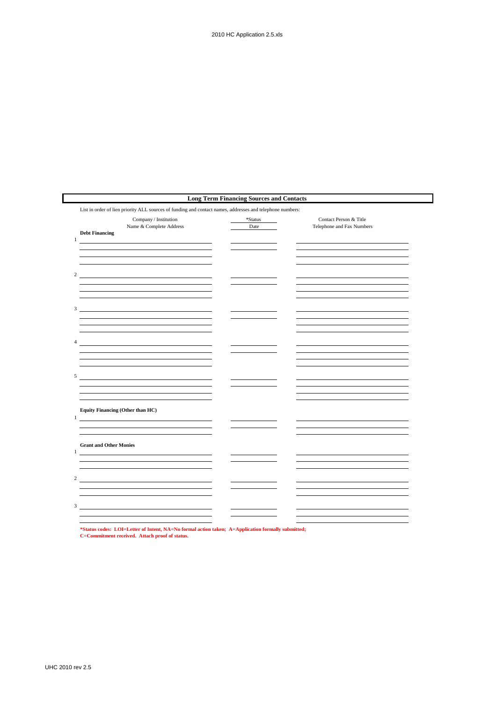|                                                                                                                                                                                                                                                                                                                                      | <b>Long Term Financing Sources and Contacts</b> |                                                     |
|--------------------------------------------------------------------------------------------------------------------------------------------------------------------------------------------------------------------------------------------------------------------------------------------------------------------------------------|-------------------------------------------------|-----------------------------------------------------|
| List in order of lien priority ALL sources of funding and contact names, addresses and telephone numbers:                                                                                                                                                                                                                            |                                                 |                                                     |
| Company / Institution<br>Name & Complete Address<br><b>Debt Financing</b><br>$\mathbf{1}$                                                                                                                                                                                                                                            | *Status<br>Date                                 | Contact Person & Title<br>Telephone and Fax Numbers |
| <u> 1980 - Johann Barn, mars an t-Amerikaansk ferskeizh (</u>                                                                                                                                                                                                                                                                        |                                                 |                                                     |
| 2 and $\overline{a}$ and $\overline{a}$ and $\overline{a}$ and $\overline{a}$ and $\overline{a}$ and $\overline{a}$ and $\overline{a}$ and $\overline{a}$ and $\overline{a}$ and $\overline{a}$ and $\overline{a}$ and $\overline{a}$ and $\overline{a}$ and $\overline{a}$ and $\overline{a}$ and $\overline{a}$ and $\overline{a}$ |                                                 |                                                     |
| $3 \overline{\phantom{a}}$                                                                                                                                                                                                                                                                                                           |                                                 |                                                     |
| $\overline{4}$<br><u> 1989 - Johann Stoff, deutscher Stoffen und der Stoffen und der Stoffen und der Stoffen und der Stoffen und der</u>                                                                                                                                                                                             |                                                 |                                                     |
| 5<br><u> 1989 - Jan Samuel Barbara, margaret e</u> n 1980 eta 1980                                                                                                                                                                                                                                                                   |                                                 |                                                     |
|                                                                                                                                                                                                                                                                                                                                      |                                                 |                                                     |
| <b>Equity Financing (Other than HC)</b><br>$\mathbf{1}$                                                                                                                                                                                                                                                                              |                                                 |                                                     |
| <b>Grant and Other Monies</b><br>1                                                                                                                                                                                                                                                                                                   |                                                 |                                                     |
| 2                                                                                                                                                                                                                                                                                                                                    |                                                 |                                                     |
| 3 <sup>7</sup>                                                                                                                                                                                                                                                                                                                       |                                                 |                                                     |
|                                                                                                                                                                                                                                                                                                                                      |                                                 |                                                     |

**\*Status codes: LOI=Letter of Intent, NA=No formal action taken; A=Application formally submitted; C=Commitment received. Attach proof of status.**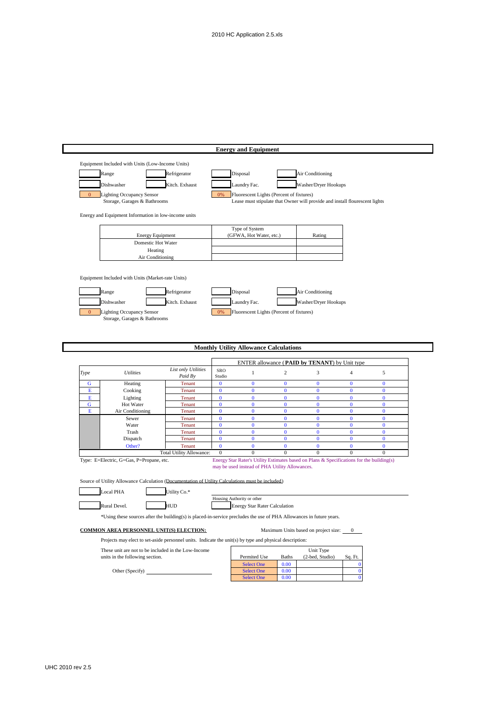|                |                                                                                                                      |                                                  |                              | <b>Energy and Equipment</b>                    |                                |                                                                                           |                                |                          |
|----------------|----------------------------------------------------------------------------------------------------------------------|--------------------------------------------------|------------------------------|------------------------------------------------|--------------------------------|-------------------------------------------------------------------------------------------|--------------------------------|--------------------------|
|                | Equipment Included with Units (Low-Income Units)                                                                     |                                                  |                              |                                                |                                |                                                                                           |                                |                          |
|                | Range                                                                                                                | Refrigerator                                     |                              | Disposal                                       |                                | Air Conditioning                                                                          |                                |                          |
|                |                                                                                                                      |                                                  |                              |                                                |                                |                                                                                           |                                |                          |
|                | Dishwasher                                                                                                           | Kitch. Exhaust                                   |                              | Laundry Fac.                                   |                                | Washer/Dryer Hookups                                                                      |                                |                          |
| $\Omega$       | <b>Lighting Occupancy Sensor</b>                                                                                     |                                                  | 0%                           | Fluorescent Lights (Percent of fixtures)       |                                |                                                                                           |                                |                          |
|                | Storage, Garages & Bathrooms                                                                                         |                                                  |                              |                                                |                                | Lease must stipulate that Owner will provide and install flourescent lights               |                                |                          |
|                | Energy and Equipment Information in low-income units                                                                 |                                                  |                              |                                                |                                |                                                                                           |                                |                          |
|                |                                                                                                                      |                                                  |                              | Type of System                                 |                                |                                                                                           |                                |                          |
|                | <b>Energy Equipment</b>                                                                                              |                                                  |                              | (GFWA, Hot Water, etc.)                        |                                | Rating                                                                                    |                                |                          |
|                | Domestic Hot Water                                                                                                   |                                                  |                              |                                                |                                |                                                                                           |                                |                          |
|                | Heating                                                                                                              |                                                  |                              |                                                |                                |                                                                                           |                                |                          |
|                | Air Conditioning                                                                                                     |                                                  |                              |                                                |                                |                                                                                           |                                |                          |
|                |                                                                                                                      |                                                  |                              |                                                |                                |                                                                                           |                                |                          |
|                | Equipment Included with Units (Market-rate Units)                                                                    |                                                  |                              |                                                |                                |                                                                                           |                                |                          |
|                | Range                                                                                                                | Refrigerator                                     |                              | Disposal                                       |                                | Air Conditioning                                                                          |                                |                          |
|                | Dishwasher                                                                                                           | Kitch. Exhaust                                   |                              | Laundry Fac.                                   |                                | Washer/Dryer Hookups                                                                      |                                |                          |
| $\overline{0}$ | <b>Lighting Occupancy Sensor</b>                                                                                     |                                                  |                              | Fluorescent Lights (Percent of fixtures)       |                                |                                                                                           |                                |                          |
|                | Storage, Garages & Bathrooms                                                                                         |                                                  | 0%                           |                                                |                                |                                                                                           |                                |                          |
|                |                                                                                                                      |                                                  |                              |                                                |                                |                                                                                           |                                |                          |
|                |                                                                                                                      |                                                  |                              |                                                |                                |                                                                                           |                                |                          |
|                |                                                                                                                      |                                                  |                              | <b>Monthly Utility Allowance Calculations</b>  |                                |                                                                                           |                                |                          |
|                |                                                                                                                      |                                                  |                              |                                                |                                |                                                                                           |                                |                          |
|                |                                                                                                                      |                                                  |                              |                                                |                                | ENTER allowance (PAID by TENANT) by Unit type                                             |                                |                          |
| Type           | <b>Utilities</b>                                                                                                     | List only Utilities<br>Paid By                   | SRO<br>Studio                | $\mathbf{1}$                                   | $\overline{c}$                 | $\mathfrak{Z}$                                                                            | $\overline{4}$                 | 5                        |
| G              | Heating                                                                                                              | <b>Tenant</b>                                    | $\bf{0}$                     | $\bf{0}$                                       | $\bf{0}$                       | $\bf{0}$                                                                                  | $\bf{0}$                       | $\bf{0}$                 |
| Е              | Cooking                                                                                                              | <b>Tenant</b>                                    | $\bf{0}$                     | $\bf{0}$                                       | $\bf{0}$                       | $\bf{0}$                                                                                  | $\bf{0}$                       | $\bf{0}$                 |
| Е              | Lighting                                                                                                             | Tenant                                           | $\bf{0}$                     | $\mathbf{0}$                                   | $\bf{0}$                       | $\bf{0}$                                                                                  | $\bf{0}$                       | $\bf{0}$                 |
| G<br>Е         | Hot Water<br>Air Conditioning                                                                                        | Tenant<br>Tenant                                 | $\overline{0}$<br>$\bf{0}$   | $\bf{0}$<br>$\bf{0}$                           | $\bf{0}$<br>$\bf{0}$           | $\overline{0}$<br>$\mathbf{0}$                                                            | $\bf{0}$<br>$\bf{0}$           | $\bf{0}$<br>$\bf{0}$     |
|                | Sewer                                                                                                                | Tenant                                           | $\bf{0}$                     | $\bf{0}$                                       | $\bf{0}$                       | $\bf{0}$                                                                                  | $\bf{0}$                       | $\bf{0}$                 |
|                | Water                                                                                                                | Tenant                                           | $\bf{0}$                     | $\mathbf{0}$                                   | $\bf{0}$                       | $\mathbf{0}$                                                                              | $\mathbf{0}$                   | $\mathbf{0}$             |
|                | Trash                                                                                                                | <b>Tenant</b>                                    | $\bf{0}$                     | $\bf{0}$                                       | $\bf{0}$                       | $\bf{0}$                                                                                  | $\bf{0}$                       | $\bf{0}$                 |
|                | Dispatch<br>Other?                                                                                                   | Tenant                                           | $\mathbf{0}$<br>$\mathbf{0}$ | $\bf{0}$                                       | $\bf{0}$                       | $\bf{0}$                                                                                  | $\bf{0}$                       | $\bf{0}$<br>$\mathbf{0}$ |
|                |                                                                                                                      |                                                  |                              |                                                |                                |                                                                                           |                                |                          |
|                |                                                                                                                      | <b>Tenant</b><br><b>Total Utility Allowance:</b> | $\boldsymbol{0}$             | $\bf{0}$<br>$\overline{0}$                     | $\mathbf{0}$<br>$\overline{0}$ | $\mathbf{0}$<br>$\overline{0}$                                                            | $\mathbf{0}$<br>$\overline{0}$ | $\boldsymbol{0}$         |
|                | Type: E=Electric, G=Gas, P=Propane, etc.                                                                             |                                                  |                              |                                                |                                | Energy Star Rater's Utility Estimates based on Plans & Specifications for the building(s) |                                |                          |
|                |                                                                                                                      |                                                  |                              | may be used instead of PHA Utility Allowances. |                                |                                                                                           |                                |                          |
|                |                                                                                                                      |                                                  |                              |                                                |                                |                                                                                           |                                |                          |
|                | Source of Utility Allowance Calculation (Documentation of Utility Calculations must be included)                     |                                                  |                              |                                                |                                |                                                                                           |                                |                          |
|                | <b>Local PHA</b>                                                                                                     | Utility Co.*                                     |                              | Housing Authority or other                     |                                |                                                                                           |                                |                          |
|                | Rural Devel.                                                                                                         | HUD                                              |                              | <b>Energy Star Rater Calculation</b>           |                                |                                                                                           |                                |                          |
|                |                                                                                                                      |                                                  |                              |                                                |                                |                                                                                           |                                |                          |
|                | *Using these sources after the building(s) is placed-in-service precludes the use of PHA Allowances in future years. |                                                  |                              |                                                |                                |                                                                                           |                                |                          |
|                | <b>COMMON AREA PERSONNEL UNIT(S) ELECTION:</b>                                                                       |                                                  |                              |                                                |                                | Maximum Units based on project size:                                                      | $\theta$                       |                          |
|                | Projects may elect to set-aside personnel units. Indicate the unit(s) by type and physical description:              |                                                  |                              |                                                |                                |                                                                                           |                                |                          |
|                | These unit are not to be included in the Low-Income                                                                  |                                                  |                              |                                                |                                | Unit Type                                                                                 |                                |                          |
|                | units in the following section.                                                                                      |                                                  |                              | Permited Use                                   | Baths                          | (2-bed, Studio)                                                                           | Sq. Ft.                        |                          |
|                | Other (Specify)                                                                                                      |                                                  |                              | <b>Select One</b><br><b>Select One</b>         | 0.00<br>0.00                   |                                                                                           | $\bf{0}$<br>$\bf{0}$           |                          |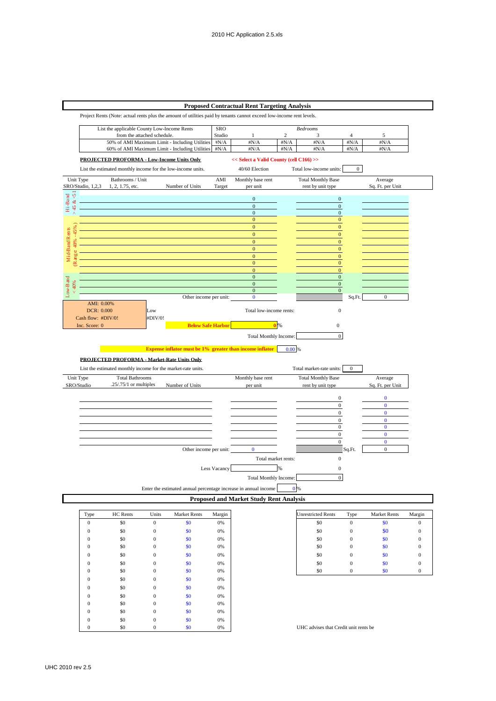### **Proposed Contractual Rent Targeting Analysis**

Project Rents (Note: actual rents plus the amount of utilities paid by tenants cannot exceed low-income rent levels.



| Type         | HC Rents | Units        | <b>Market Rents</b> | Margin |
|--------------|----------|--------------|---------------------|--------|
| $\mathbf{0}$ | \$0      | $\mathbf{0}$ | \$0                 | 0%     |
| $\mathbf{0}$ | \$0      | $\mathbf{0}$ | \$0                 | 0%     |
| $\mathbf{0}$ | \$0      | $\mathbf{0}$ | \$0                 | 0%     |
| $\mathbf{0}$ | \$0      | $\mathbf{0}$ | \$0                 | 0%     |
| $\mathbf{0}$ | \$0      | $\mathbf{0}$ | \$0                 | 0%     |
| $\mathbf{0}$ | \$0      | $\mathbf{0}$ | \$0                 | 0%     |
| $\mathbf{0}$ | \$0      | $\mathbf{0}$ | \$0                 | 0%     |
| $\mathbf{0}$ | \$0      | $\mathbf{0}$ | \$0                 | 0%     |
| $\Omega$     | \$0      | $\mathbf{0}$ | \$0                 | 0%     |
| $\mathbf{0}$ | \$0      | $\mathbf{0}$ | \$0                 | 0%     |
| $\mathbf{0}$ | \$0      | $\mathbf{0}$ | \$0                 | 0%     |
| $\mathbf{0}$ | \$0      | $\mathbf{0}$ | \$0                 | 0%     |
| $\mathbf{0}$ | \$0      | $\mathbf{0}$ | \$0                 | 0%     |
| $\Omega$     | \$0      | $\mathbf{0}$ | \$0                 | 0%     |

| <b>Unrestricted Rents</b> | Type | <b>Market Rents</b> | Margin |
|---------------------------|------|---------------------|--------|
| \$0                       | O    | \$0                 | U      |
| \$0                       |      | \$0                 | 0      |
| \$0                       | 0    | \$0                 | 0      |
| \$0                       |      | \$0                 | 0      |
| \$0                       | 0    | \$0                 | 0      |
| \$0                       |      | \$0                 | 0      |
| \$0                       |      | \$0                 |        |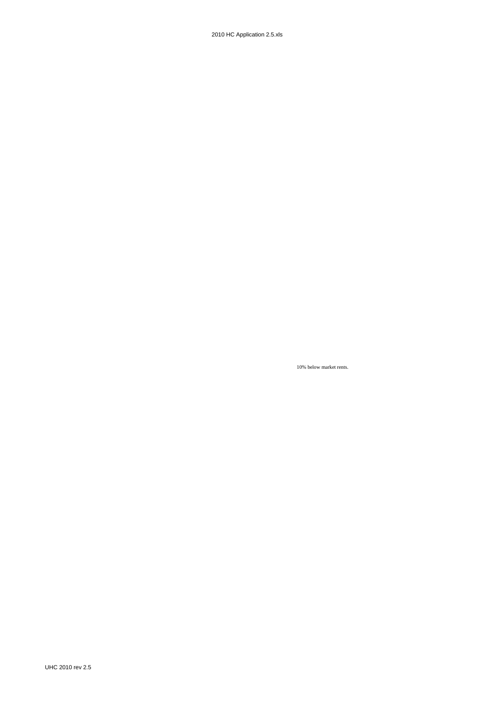2010 HC Application 2.5.xls

10% below market rents.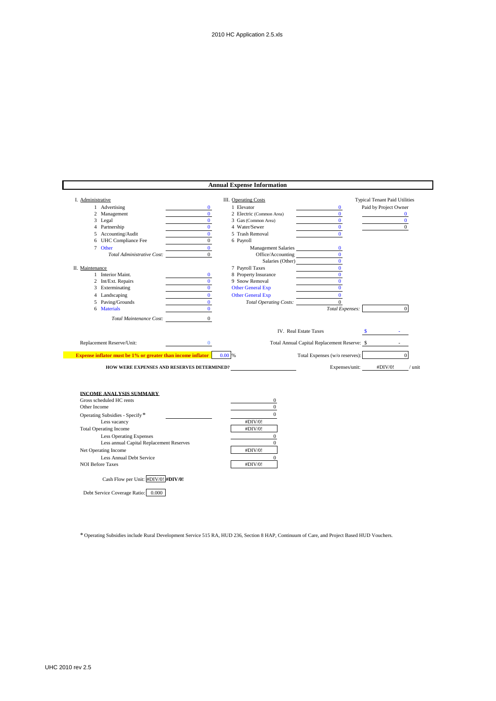|                                                                    |                | <b>Annual Expense Information</b> |                                                  |
|--------------------------------------------------------------------|----------------|-----------------------------------|--------------------------------------------------|
| I. Administrative                                                  |                | <b>III.</b> Operating Costs       | <b>Typical Tenant Paid Utilities</b>             |
| 1 Advertising                                                      | $\mathbf{0}$   | 1 Elevator                        | Paid by Project Owner<br>$\bf{0}$                |
| 2 Management                                                       | $\mathbf{0}$   | 2 Electric (Common Area)          | $\mathbf{0}$<br>$\bf{0}$                         |
| 3 Legal                                                            | $\mathbf{0}$   | 3 Gas (Common Area)               | $\mathbf{0}$<br>$\bf{0}$                         |
| 4 Partnership                                                      | $\Omega$       | 4 Water/Sewer                     | $\mathbf{0}$<br>$\overline{0}$                   |
| 5 Accounting/Audit                                                 | $\Omega$       | 5 Trash Removal                   | $\mathbf{0}$                                     |
| 6 UHC Compliance Fee                                               | $\Omega$       | 6 Payroll                         |                                                  |
| 7 Other                                                            | $\mathbf{0}$   | Management Salaries               | $\bf{0}$                                         |
| Total Administrative Cost:                                         | $\overline{0}$ | Office/Accounting                 | $\bf{0}$                                         |
|                                                                    |                |                                   | $\mathbf{0}$                                     |
| II. Maintenance                                                    |                | 7 Payroll Taxes                   | $\mathbf{0}$                                     |
| 1 Interior Maint.                                                  | $\mathbf{0}$   | 8 Property Insurance              | $\mathbf{0}$                                     |
| 2 Int/Ext. Repairs                                                 | $\mathbf{0}$   | 9 Snow Removal                    | $\mathbf{0}$<br>$\Omega$                         |
| 3 Exterminating                                                    | $\mathbf{0}$   | <b>Other General Exp</b>          |                                                  |
| 4 Landscaping<br><b>Contract Contract</b>                          | $\mathbf{0}$   | <b>Other General Exp</b>          | $\mathbf{0}$                                     |
| 5 Paving/Grounds                                                   | $\mathbf{0}$   | Total Operating Costs:            | $\mathbf{0}$<br>$\overline{0}$                   |
| 6 Materials                                                        | $\mathbf{0}$   |                                   | Total Expenses:                                  |
| Total Maintenance Cost:                                            | $\theta$       |                                   |                                                  |
|                                                                    |                |                                   | IV. Real Estate Taxes<br>$\sim$ $\sim$           |
| Replacement Reserve/Unit:                                          | $\bf{0}$       |                                   | Total Annual Capital Replacement Reserve: \$     |
| <b>Expense inflator must be 1% or greater than income inflator</b> |                | 0.00 %                            | $\overline{0}$<br>Total Expenses (w/o reserves): |
| HOW WERE EXPENSES AND RESERVES DETERMINED?                         |                |                                   | Expenses/unit:<br>#DIV/0!<br>$/$ unit            |
|                                                                    |                |                                   |                                                  |
| <b>INCOME ANALYSIS SUMMARY</b>                                     |                |                                   |                                                  |
| Gross scheduled HC rents                                           |                | 0                                 |                                                  |
| Other Income                                                       |                | $\boldsymbol{0}$                  |                                                  |
| Operating Subsidies - Specify*                                     |                | $\Omega$                          |                                                  |
| Less vacancy                                                       |                | #DIV/0!                           |                                                  |
| <b>Total Operating Income</b>                                      |                | #DIV/0!                           |                                                  |
| <b>Less Operating Expenses</b>                                     |                | $\mathbf{0}$                      |                                                  |
| Less annual Capital Replacement Reserves                           |                | $\mathbf{0}$                      |                                                  |
| Net Operating Income                                               |                | #DIV/0!                           |                                                  |
| Less Annual Debt Service                                           |                | $\mathbf{0}$                      |                                                  |
| <b>NOI Before Taxes</b>                                            |                | #DIV/0!                           |                                                  |
| Cash Flow per Unit: #DIV/0! #DIV/0!                                |                |                                   |                                                  |
|                                                                    |                |                                   |                                                  |

\* Operating Subsidies include Rural Development Service 515 RA, HUD 236, Section 8 HAP, Continuum of Care, and Project Based HUD Vouchers.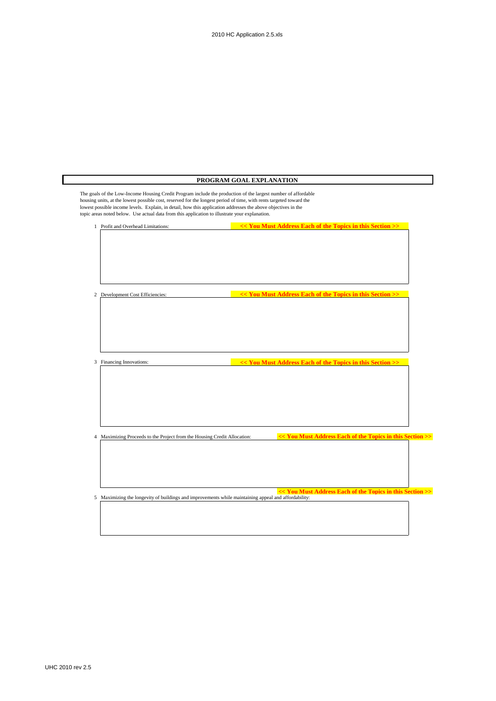|                                    |                                                                                                | PROGRAM GOAL EXPLANATION                                                                                                                                                                                                                                                                                                                              |
|------------------------------------|------------------------------------------------------------------------------------------------|-------------------------------------------------------------------------------------------------------------------------------------------------------------------------------------------------------------------------------------------------------------------------------------------------------------------------------------------------------|
|                                    | topic areas noted below. Use actual data from this application to illustrate your explanation. | The goals of the Low-Income Housing Credit Program include the production of the largest number of affordable<br>housing units, at the lowest possible cost, reserved for the longest period of time, with rents targeted toward the<br>lowest possible income levels. Explain, in detail, how this application addresses the above objectives in the |
| 1 Profit and Overhead Limitations: |                                                                                                | << You Must Address Each of the Topics in this Section >>                                                                                                                                                                                                                                                                                             |
|                                    |                                                                                                |                                                                                                                                                                                                                                                                                                                                                       |
| 2 Development Cost Efficiencies:   |                                                                                                | << You Must Address Each of the Topics in this Section >>                                                                                                                                                                                                                                                                                             |
|                                    |                                                                                                |                                                                                                                                                                                                                                                                                                                                                       |
| 3 Financing Innovations:           |                                                                                                | << You Must Address Each of the Topics in this Section >>                                                                                                                                                                                                                                                                                             |
|                                    |                                                                                                |                                                                                                                                                                                                                                                                                                                                                       |
|                                    | 4 Maximizing Proceeds to the Project from the Housing Credit Allocation:                       | << You Must Address Each of the Topics in this Section >>                                                                                                                                                                                                                                                                                             |
|                                    |                                                                                                | << You Must Address Each of the Topics in this Section >><br>5 Maximizing the longevity of buildings and improvements while maintaining appeal and affordability:                                                                                                                                                                                     |
|                                    |                                                                                                |                                                                                                                                                                                                                                                                                                                                                       |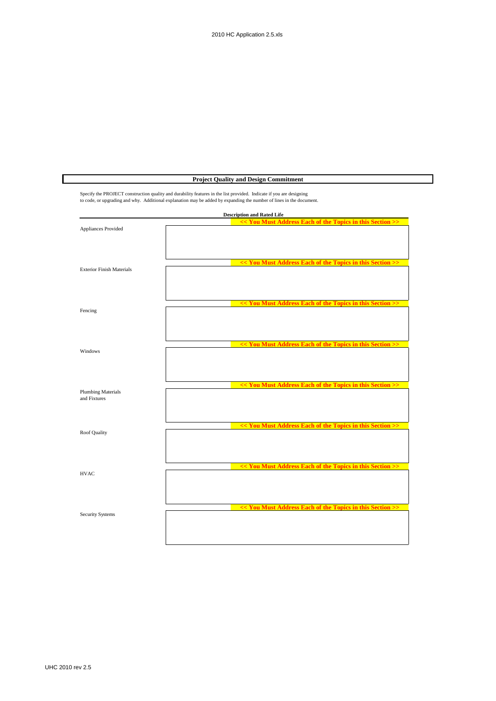**Project Quality and Design Commitment**

|                                           | <b>Description and Rated Life</b>                         |
|-------------------------------------------|-----------------------------------------------------------|
| Appliances Provided                       | << You Must Address Each of the Topics in this Section >> |
| <b>Exterior Finish Materials</b>          | << You Must Address Each of the Topics in this Section >> |
| Fencing                                   | << You Must Address Each of the Topics in this Section >> |
| Windows                                   | << You Must Address Each of the Topics in this Section >> |
| <b>Plumbing Materials</b><br>and Fixtures | << You Must Address Each of the Topics in this Section >> |
| Roof Quality                              | << You Must Address Each of the Topics in this Section >> |
| <b>HVAC</b>                               | << You Must Address Each of the Topics in this Section >> |
| <b>Security Systems</b>                   | << You Must Address Each of the Topics in this Section >> |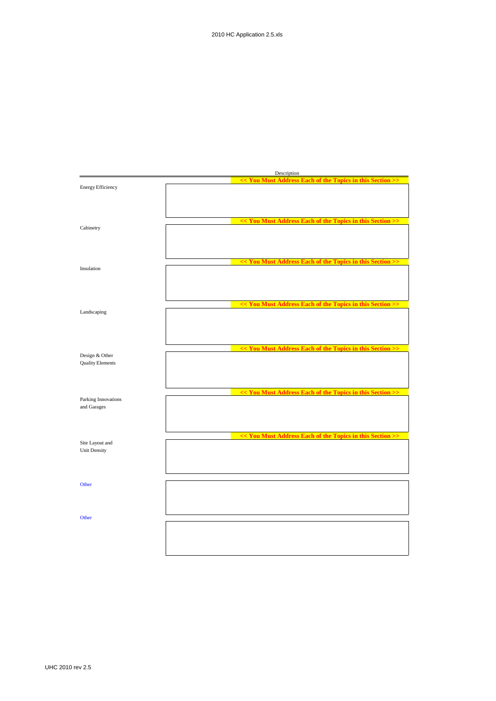|                                    | Description                                               |  |  |  |  |
|------------------------------------|-----------------------------------------------------------|--|--|--|--|
|                                    | << You Must Address Each of the Topics in this Section >> |  |  |  |  |
| <b>Energy Efficiency</b>           |                                                           |  |  |  |  |
|                                    |                                                           |  |  |  |  |
|                                    |                                                           |  |  |  |  |
|                                    |                                                           |  |  |  |  |
|                                    | << You Must Address Each of the Topics in this Section >> |  |  |  |  |
| Cabinetry                          |                                                           |  |  |  |  |
|                                    |                                                           |  |  |  |  |
|                                    |                                                           |  |  |  |  |
|                                    |                                                           |  |  |  |  |
|                                    | << You Must Address Each of the Topics in this Section >  |  |  |  |  |
| Insulation                         |                                                           |  |  |  |  |
|                                    |                                                           |  |  |  |  |
|                                    |                                                           |  |  |  |  |
|                                    |                                                           |  |  |  |  |
|                                    | << You Must Address Each of the Topics in this Section >> |  |  |  |  |
| Landscaping                        |                                                           |  |  |  |  |
|                                    |                                                           |  |  |  |  |
|                                    |                                                           |  |  |  |  |
|                                    |                                                           |  |  |  |  |
|                                    | << You Must Address Each of the Topics in this Section >> |  |  |  |  |
| Design & Other                     |                                                           |  |  |  |  |
| <b>Quality Elements</b>            |                                                           |  |  |  |  |
|                                    |                                                           |  |  |  |  |
|                                    |                                                           |  |  |  |  |
|                                    |                                                           |  |  |  |  |
|                                    | << You Must Address Each of the Topics in this Section >> |  |  |  |  |
| Parking Innovations<br>and Garages |                                                           |  |  |  |  |
|                                    |                                                           |  |  |  |  |
|                                    |                                                           |  |  |  |  |
|                                    |                                                           |  |  |  |  |
|                                    | << You Must Address Each of the Topics in this Section >> |  |  |  |  |
| Site Layout and                    |                                                           |  |  |  |  |
| <b>Unit Density</b>                |                                                           |  |  |  |  |
|                                    |                                                           |  |  |  |  |
|                                    |                                                           |  |  |  |  |
|                                    |                                                           |  |  |  |  |
| Other                              |                                                           |  |  |  |  |
|                                    |                                                           |  |  |  |  |
|                                    |                                                           |  |  |  |  |
|                                    |                                                           |  |  |  |  |
| Other                              |                                                           |  |  |  |  |
|                                    |                                                           |  |  |  |  |
|                                    |                                                           |  |  |  |  |
|                                    |                                                           |  |  |  |  |
|                                    |                                                           |  |  |  |  |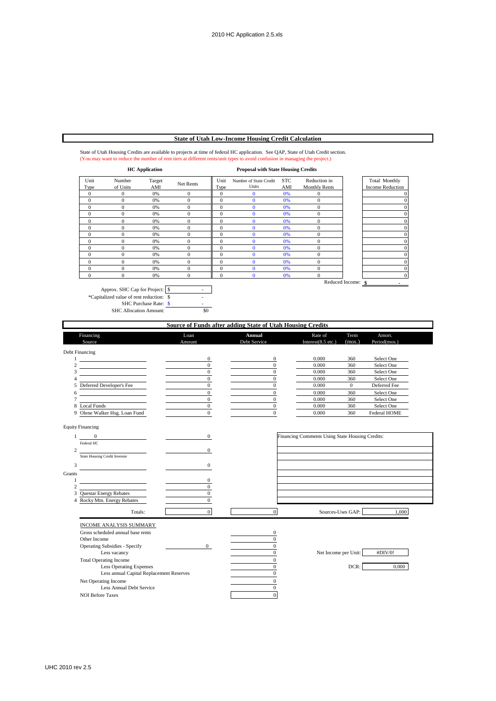## **State of Utah Low-Income Housing Credit Calculation**

#### State of Utah Housing Credits are available to projects at time of federal HC application. See QAP, State of Utah Credit section. (You may want to reduce the number of rent tiers at different rents/unit types to avoid confusion in managing the project.)

|              | <b>HC</b> Application |               |              | <b>Proposal with State Housing Credits</b> |                                        |                   |                                      |                    |                                          |
|--------------|-----------------------|---------------|--------------|--------------------------------------------|----------------------------------------|-------------------|--------------------------------------|--------------------|------------------------------------------|
| Unit<br>Type | Number<br>of Units    | Target<br>AMI | Net Rents    | Unit<br>Type                               | Number of State Credit<br><b>Units</b> | <b>STC</b><br>AMI | Reduction in<br><b>Monthly Rents</b> |                    | Total Monthly<br><b>Income Reduction</b> |
| $\mathbf{0}$ | $\Omega$              | 0%            | $\Omega$     | $\mathbf{0}$                               | $\Omega$                               | 0%                | 0                                    |                    |                                          |
| $\mathbf{0}$ | $\theta$              | 0%            | $\mathbf{0}$ | $\mathbf{0}$                               | $\Omega$                               | 0%                | $\overline{0}$                       |                    |                                          |
| $\theta$     | $\theta$              | 0%            | $\Omega$     | $\mathbf{0}$                               | o                                      | 0%                | $\theta$                             |                    |                                          |
| $\mathbf{0}$ | 0                     | 0%            | $\Omega$     | $\mathbf{0}$                               | O                                      | 0%                | $\theta$                             |                    |                                          |
| $\Omega$     | 0                     | 0%            | $\sqrt{ }$   | $\mathbf{0}$                               |                                        | 0%                | $\theta$                             |                    |                                          |
| $\Omega$     | $\theta$              | 0%            | $\Omega$     | $\mathbf{0}$                               |                                        | 0%                | $\theta$                             |                    |                                          |
| $\Omega$     | $\theta$              | 0%            | $\sqrt{ }$   | $\mathbf{0}$                               |                                        | 0%                | $\overline{0}$                       |                    |                                          |
| $\mathbf{0}$ | $\mathbf{0}$          | 0%            | $\theta$     | 0                                          |                                        | 0%                | $\overline{0}$                       |                    |                                          |
| $\mathbf{0}$ | $\theta$              | 0%            | $\Omega$     | $\mathbf{0}$                               | O                                      | 0%                | $\overline{0}$                       |                    |                                          |
| $\mathbf{0}$ | $\mathbf{0}$          | 0%            | $\theta$     | $\mathbf{0}$                               | 0                                      | 0%                | $\overline{0}$                       |                    |                                          |
| $\mathbf{0}$ | $\theta$              | 0%            | $\Omega$     | $\mathbf{0}$                               | n                                      | 0%                | $\theta$                             |                    |                                          |
| $\theta$     | $\theta$              | 0%            | $\theta$     | $\mathbf{0}$                               |                                        | 0%                | $\overline{0}$                       |                    |                                          |
| $\Omega$     | $\theta$              | 0%            | $\mathbf{0}$ | $\mathbf{0}$                               | $\Omega$                               | 0%                | $\overline{0}$                       |                    | $^{O}$                                   |
|              |                       |               |              |                                            |                                        |                   |                                      | Reduced Income: \$ |                                          |

Approx. SHC Cap for Project:  $\sqrt{\ }$ \*Capitalized value of rent reduction:  $\$ SHC Purchase Rate:  $\sqrt{s}$  -SHC Allocation Amount: \$0

### **Source of Funds after adding State of Utah Housing Credits**

|                | Financing                                                                                                            | Loan             | Annual           | Rate of                                         | Term              | Amort.       |  |
|----------------|----------------------------------------------------------------------------------------------------------------------|------------------|------------------|-------------------------------------------------|-------------------|--------------|--|
|                | Source                                                                                                               | Amount           | Debt Service     | Interest $(8.5$ etc.)                           | (mos.)            | Period(mos.) |  |
|                | Debt Financing                                                                                                       |                  |                  |                                                 |                   |              |  |
| $\mathbf{1}$   |                                                                                                                      | $\boldsymbol{0}$ | $\bf{0}$         | 0.000                                           | 360               | Select One   |  |
| $\overline{c}$ | the control of the control of the control of                                                                         | $\boldsymbol{0}$ | $\overline{0}$   | 0.000                                           | 360               | Select One   |  |
| 3              | and the company of the company                                                                                       | $\overline{0}$   | $\mathbf{0}$     | 0.000                                           | 360               | Select One   |  |
| 4              | <u> 1989 - Johann Barbara, martin a</u>                                                                              | $\Omega$         | $\mathbf{0}$     | 0.000                                           | 360               | Select One   |  |
| 5              | Deferred Developer's Fee                                                                                             | $\overline{0}$   | $\mathbf{0}$     | 0.000                                           | $\overline{0}$    | Deferred Fee |  |
| 6              | <u> 1990 - Johann Barbara, politik eta politik eta politik eta politik eta politik eta politik eta politik eta p</u> | $\overline{0}$   | $\mathbf{0}$     | 0.000                                           | 360               | Select One   |  |
| 7              |                                                                                                                      | $\overline{0}$   | $\mathbf{0}$     | 0.000                                           | 360               | Select One   |  |
|                | 8 Local Funds                                                                                                        | $\boldsymbol{0}$ | $\boldsymbol{0}$ | 0.000                                           | 360               | Select One   |  |
|                | 9 Olene Walker Hsg. Loan Fund                                                                                        | $\Omega$         | $\Omega$         | 0.000                                           | 360               | Federal HOME |  |
|                |                                                                                                                      |                  |                  |                                                 |                   |              |  |
|                | <b>Equity Financing</b>                                                                                              |                  |                  |                                                 |                   |              |  |
|                |                                                                                                                      |                  |                  |                                                 |                   |              |  |
| 1              | $\overline{0}$                                                                                                       | $\bf{0}$         |                  | Financing Comments Using State Housing Credits: |                   |              |  |
|                | Federal HC                                                                                                           |                  |                  |                                                 |                   |              |  |
| $\overline{2}$ |                                                                                                                      | 0                |                  |                                                 |                   |              |  |
|                | <b>State Housing Credit Investor</b>                                                                                 |                  |                  |                                                 |                   |              |  |
| 3              |                                                                                                                      | $\mathbf{0}$     |                  |                                                 |                   |              |  |
| Grants         |                                                                                                                      |                  |                  |                                                 |                   |              |  |
| 1              |                                                                                                                      | $\overline{0}$   |                  |                                                 |                   |              |  |
| $\overline{c}$ | the control of the control of the con-                                                                               | $\Omega$         |                  |                                                 |                   |              |  |
| 3              | <b>Questar Energy Rebates</b>                                                                                        | $\mathbf{0}$     |                  |                                                 |                   |              |  |
|                | 4 Rocky Mtn. Energy Rebates                                                                                          | $\Omega$         |                  |                                                 |                   |              |  |
|                |                                                                                                                      |                  |                  |                                                 |                   |              |  |
|                | Totals:                                                                                                              | $\mathbf{D}$     | $\Omega$         |                                                 | Sources-Uses GAP: | 1,000        |  |
|                |                                                                                                                      |                  |                  |                                                 |                   |              |  |
|                | INCOME ANALYSIS SUMMARY                                                                                              |                  |                  |                                                 |                   |              |  |
|                | Gross scheduled annual base rents                                                                                    |                  | 0                |                                                 |                   |              |  |
|                | Other Income                                                                                                         |                  | $\mathbf{0}$     |                                                 |                   |              |  |
|                | Operating Subsidies - Specify                                                                                        | $\overline{0}$   | $\boldsymbol{0}$ |                                                 |                   |              |  |
|                | Less vacancy                                                                                                         |                  | $\bf{0}$         | Net Income per Unit:                            |                   | #DIV/0!      |  |
|                | <b>Total Operating Income</b>                                                                                        |                  | $\boldsymbol{0}$ |                                                 |                   |              |  |
|                | <b>Less Operating Expenses</b>                                                                                       |                  | $\mathbf{0}$     |                                                 | DCR:              | 0.000        |  |
|                | Less annual Capital Replacement Reserves                                                                             |                  | $\Omega$         |                                                 |                   |              |  |
|                | Net Operating Income                                                                                                 |                  | $\mathbf{0}$     |                                                 |                   |              |  |
|                | Less Annual Debt Service                                                                                             |                  | $\mathbf{0}$     |                                                 |                   |              |  |
|                | <b>NOI Before Taxes</b>                                                                                              |                  | $\mathbf{0}$     |                                                 |                   |              |  |
|                |                                                                                                                      |                  |                  |                                                 |                   |              |  |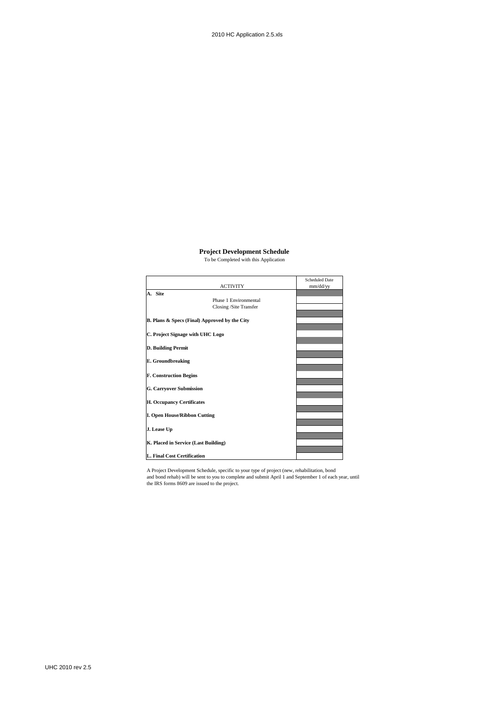#### **Project Development Schedule**

To be Completed with this Application

|                                               | <b>Scheduled Date</b> |
|-----------------------------------------------|-----------------------|
| <b>ACTIVITY</b>                               | mm/dd/yy              |
| A. Site                                       |                       |
| Phase 1 Environmental                         |                       |
| Closing /Site Transfer                        |                       |
|                                               |                       |
| B. Plans & Specs (Final) Approved by the City |                       |
|                                               |                       |
| C. Project Signage with UHC Logo              |                       |
|                                               |                       |
| D. Building Permit                            |                       |
|                                               |                       |
| <b>E.</b> Groundbreaking                      |                       |
|                                               |                       |
| <b>F. Construction Begins</b>                 |                       |
|                                               |                       |
| <b>G. Carryover Submission</b>                |                       |
|                                               |                       |
| <b>H. Occupancy Certificates</b>              |                       |
|                                               |                       |
| <b>I. Open House/Ribbon Cutting</b>           |                       |
|                                               |                       |
| J. Lease Up                                   |                       |
|                                               |                       |
| K. Placed in Service (Last Building)          |                       |
|                                               |                       |
| L. Final Cost Certification                   |                       |

A Project Development Schedule, specific to your type of project (new, rehabilitation, bond and bond rehab) will be sent to you to complete and submit April 1 and September 1 of each year, until the IRS forms 8609 are issued to the project.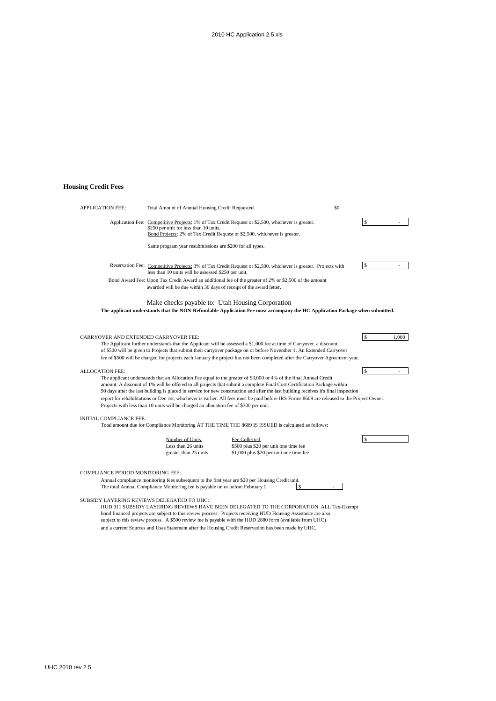# **Housing Credit Fees**

| <b>APPLICATION FEE:</b>                                                         | Total Amount of Annual Housing Credit Requested                                       |                                                                                                                                                                                                                                                                                                                                                                                                                                                                                                                                     | \$0 |                        |
|---------------------------------------------------------------------------------|---------------------------------------------------------------------------------------|-------------------------------------------------------------------------------------------------------------------------------------------------------------------------------------------------------------------------------------------------------------------------------------------------------------------------------------------------------------------------------------------------------------------------------------------------------------------------------------------------------------------------------------|-----|------------------------|
|                                                                                 | \$250 per unit for less than 10 units.                                                | Application Fee: Competitive Projects: 1% of Tax Credit Request or \$2,500, whichever is greater.<br>Bond Projects: 2% of Tax Credit Request or \$2,500, whichever is greater.                                                                                                                                                                                                                                                                                                                                                      |     |                        |
|                                                                                 | Same program year resubmissions are \$200 for all types.                              |                                                                                                                                                                                                                                                                                                                                                                                                                                                                                                                                     |     |                        |
|                                                                                 | less than 10 units will be assessed \$250 per unit.                                   | Reservation Fee: Competitive Projects: 3% of Tax Credit Request or \$2,500, whichever is greater. Projects with                                                                                                                                                                                                                                                                                                                                                                                                                     |     | \$                     |
|                                                                                 | awarded will be due within 30 days of receipt of the award letter.                    | Bond Award Fee: Upon Tax Credit Award an additional fee of the greater of 2% or \$2,500 of the amount                                                                                                                                                                                                                                                                                                                                                                                                                               |     |                        |
|                                                                                 | Make checks payable to: Utah Housing Corporation                                      |                                                                                                                                                                                                                                                                                                                                                                                                                                                                                                                                     |     |                        |
|                                                                                 |                                                                                       | The applicant understands that the NON-Refundable Application Fee must accompany the HC Application Package when submitted.                                                                                                                                                                                                                                                                                                                                                                                                         |     |                        |
| CARRYOVER AND EXTENDED CARRYOVER FEE:                                           |                                                                                       | The Applicant further understands that the Applicant will be assessed a \$1,000 fee at time of Carryover. a discount<br>of \$500 will be given to Projects that submit their carryover package on or before November 1. An Extended Carryover<br>fee of \$500 will be charged for projects each January the project has not been completed after the Carryover Agreement year.                                                                                                                                                      |     | <sup>\$</sup><br>1.000 |
| <b>ALLOCATION FEE:</b>                                                          | Projects with less than 10 units will be charged an allocation fee of \$300 per unit. | The applicant understands that an Allocation Fee equal to the greater of \$3,000 or 4% of the final Annual Credit<br>amount. A discount of 1% will be offered to all projects that submit a complete Final Cost Certification Package within<br>90 days after the last building is placed in service for new construction and after the last building receives it's final inspection<br>report for rehabilitations or Dec 1st, whichever is earlier. All fees must be paid before IRS Forms 8609 are released to the Project Owner. |     | \$                     |
| INITIAL COMPLIANCE FEE:                                                         |                                                                                       | Total amount due for Compliance Monitoring AT THE TIME THE 8609 IS ISSUED is calculated as follows:                                                                                                                                                                                                                                                                                                                                                                                                                                 |     |                        |
|                                                                                 | Number of Units<br>Less than 26 units<br>greater than 25 units                        | Fee Collected<br>\$500 plus \$20 per unit one time fee<br>\$1,000 plus \$20 per unit one time fee                                                                                                                                                                                                                                                                                                                                                                                                                                   |     | $\mathbf{s}$           |
| COMPLIANCE PERIOD MONITORING FEE:<br>SUBSIDY LAYERING REVIEWS DELEGATED TO UHC: | The total Annual Compliance Monitoring fee is payable on or before February 1.        | Annual compliance monitoring fees subsequent to the first year are \$20 per Housing Credit unit.<br>\$                                                                                                                                                                                                                                                                                                                                                                                                                              |     |                        |

HUD 911 SUBSIDY LAYERING REVIEWS HAVE BEEN DELEGATED TO THE CORPORATION ALL Tax-Exempt bond financed projects are subject to this review process. Projects receiving HUD Housing Assistance are also subject to this review process. A \$500 review fee is payable with the HUD 2880 form (available from UHC) and a current Sources and Uses Statement after the Housing Credit Reservation has been made by UHC.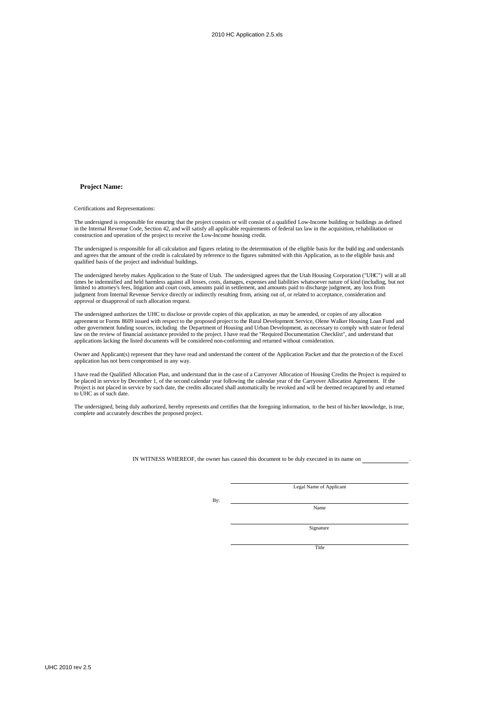## **Project Name:**

Certifications and Representations:

The undersigned is responsible for ensuring that the project consists or will consist of a qualified Low-Income building or buildings as defined in the Internal Revenue Code, Section 42, and will satisfy all applicable requirements of federal tax law in the acquisition, rehabilitation or construction and operation of the project to receive the Low-Income housing credit.

The undersigned is responsible for all calculation and figures relating to the determination of the eligible basis for the build ing and understands and agrees that the amount of the credit is calculated by reference to the figures submitted with this Application, as to the eligible basis and qualified basis of the project and individual buildings.

The undersigned hereby makes Application to the State of Utah. The undersigned agrees that the Utah Housing Corporation ("UHC") will at all times be indemnified and held harmless against all losses, costs, damages, expenses and liabilities whatsoever nature of kind (including, but not<br>limited to attorney's fees, litigation and court costs, amounts paid in sett judgment from Internal Revenue Service directly or indirectly resulting from, arising out of, or related to acceptance, consideration and approval or disapproval of such allocation request.

The undersigned authorizes the UHC to disclose or provide copies of this application, as may be amended, or copies of any allocation agreement or Forms 8609 issued with respect to the proposed project to the Rural Development Service, Olene Walker Housing Loan Fund and other government funding sources, including the Department of Housing and Urban Development, as necessary to comply with state or federal law on the review of financial assistance provided to the project. I have read the "Required Documentation Checklist", and understand that applications lacking the listed documents will be considered non-conforming and returned without consideration.

Owner and Applicant(s) represent that they have read and understand the content of the Application Packet and that the protection of the Excel application has not been compromised in any way.

I have read the Qualified Allocation Plan, and understand that in the case of a Carryover Allocation of Housing Credits the Project is required to be placed in service by December 1, of the second calendar year following the calendar year of the Carryover Allocation Agreement. If the Project is not placed in service by such date, the credits allocated shall automatically be revoked and will be deemed recaptured by and returned to UHC as of such date.

The undersigned, being duly authorized, hereby represents and certifies that the foregoing information, to the best of his/her knowledge, is true, complete and accurately describes the proposed project.

IN WITNESS WHEREOF, the owner has caused this document to be duly executed in its name on .

Legal Name of Applicant

By:

Name

Sionature

**Title**